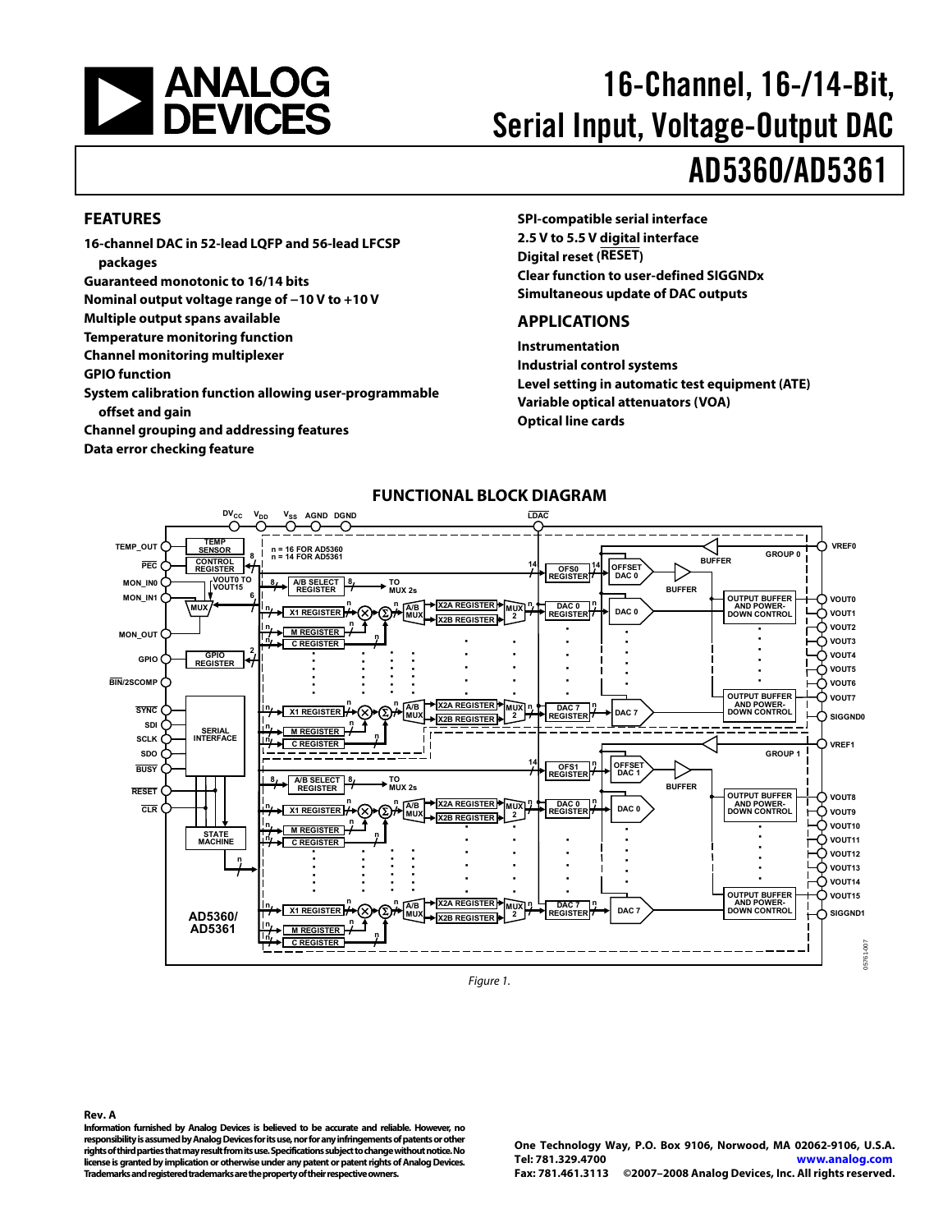<span id="page-0-0"></span>

# 16-Channel, 16-/14-Bit, Serial Input, Voltage-Output DAC AD5360/AD5361

### **FEATURES**

**16-channel DAC in 52-lead LQFP and 56-lead LFCSP packages** 

**Guaranteed monotonic to 16/14 bits** 

**Nominal output voltage range of −10 V to +10 V** 

**Multiple output spans available** 

**Temperature monitoring function** 

**Channel monitoring multiplexer** 

**GPIO function** 

**System calibration function allowing user-programmable offset and gain** 

**Channel grouping and addressing features** 

**Data error checking feature** 

**SPI-compatible serial interface 2.5 V to 5.5 V digital interface Digital reset (RESET) Clear function to user-defined SIGGNDx Simultaneous update of DAC outputs** 

### **APPLICATIONS**

**Instrumentation Industrial control systems Level setting in automatic test equipment (ATE) Variable optical attenuators (VOA) Optical line cards** 



**FUNCTIONAL BLOCK DIAGRAM** 

Figure 1.

**Rev. A** 

**Information furnished by Analog Devices is believed to be accurate and reliable. However, no responsibility is assumed by Analog Devices for its use, nor for any infringements of patents or other rights of third parties that may result from its use. Specifications subject to change without notice. No license is granted by implication or otherwise under any patent or patent rights of Analog Devices. Trademarks and registered trademarks are the property of their respective owners.** 

**One Technology Way, P.O. Box 9106, Norwood, MA 02062-9106, U.S.A. Tel: 781.329.4700 www.analog.com Fax: 781.461.3113 ©2007–2008 Analog Devices, Inc. All rights reserved.**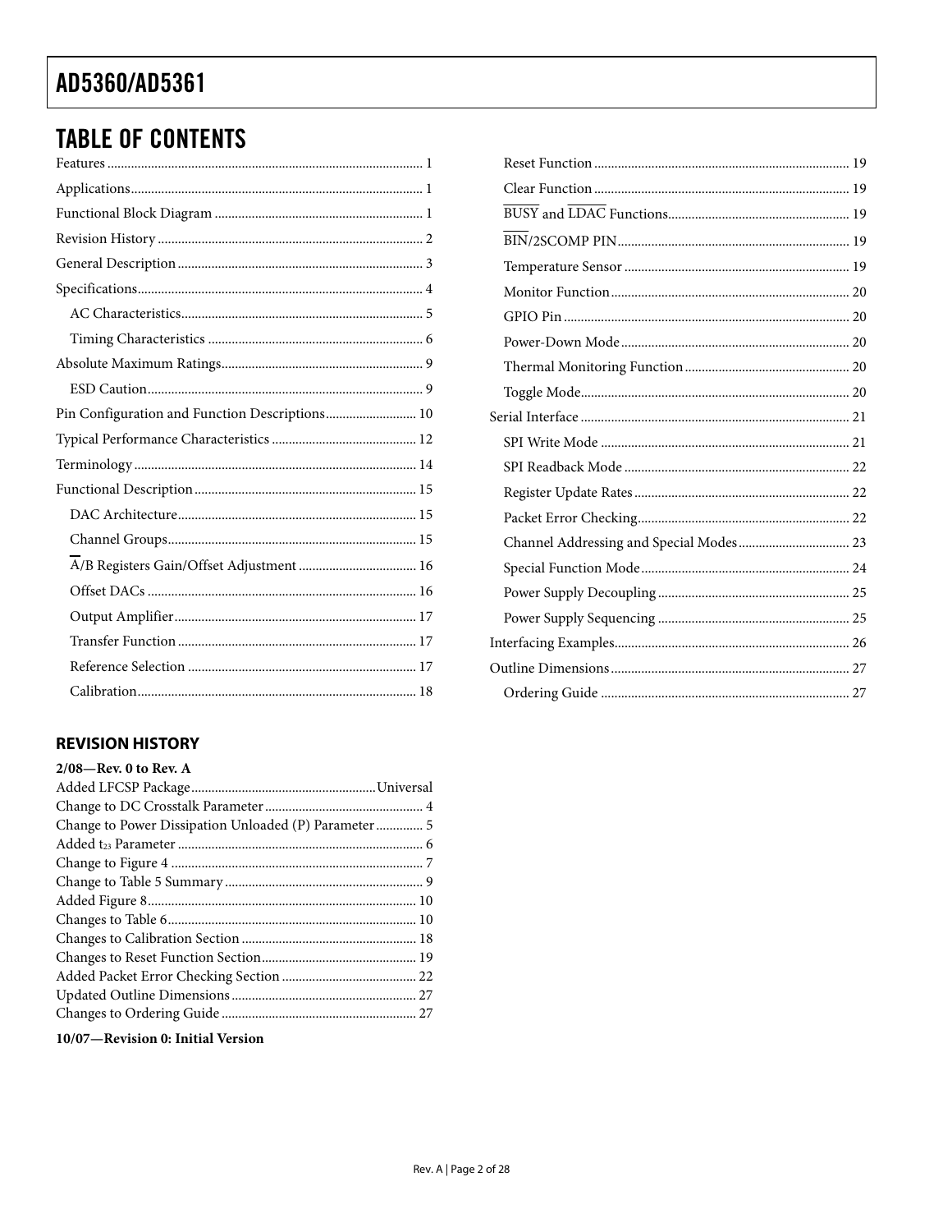# **TABLE OF CONTENTS**

| Pin Configuration and Function Descriptions 10 |
|------------------------------------------------|
|                                                |
|                                                |
|                                                |
|                                                |
|                                                |
|                                                |
|                                                |
|                                                |
|                                                |
|                                                |
|                                                |

### **REVISION HISTORY**

| $2/08$ —Rev. 0 to Rev. A                                                                                                                                                          |  |
|-----------------------------------------------------------------------------------------------------------------------------------------------------------------------------------|--|
|                                                                                                                                                                                   |  |
|                                                                                                                                                                                   |  |
|                                                                                                                                                                                   |  |
|                                                                                                                                                                                   |  |
|                                                                                                                                                                                   |  |
|                                                                                                                                                                                   |  |
|                                                                                                                                                                                   |  |
|                                                                                                                                                                                   |  |
|                                                                                                                                                                                   |  |
|                                                                                                                                                                                   |  |
|                                                                                                                                                                                   |  |
|                                                                                                                                                                                   |  |
|                                                                                                                                                                                   |  |
| $\mathbf{r} = \mathbf{r} \cdot \mathbf{r}$ , $\mathbf{r} = \mathbf{r} \cdot \mathbf{r}$ , $\mathbf{r} = \mathbf{r} \cdot \mathbf{r}$ , $\mathbf{r} = \mathbf{r} \cdot \mathbf{r}$ |  |

10/07-Revision 0: Initial Version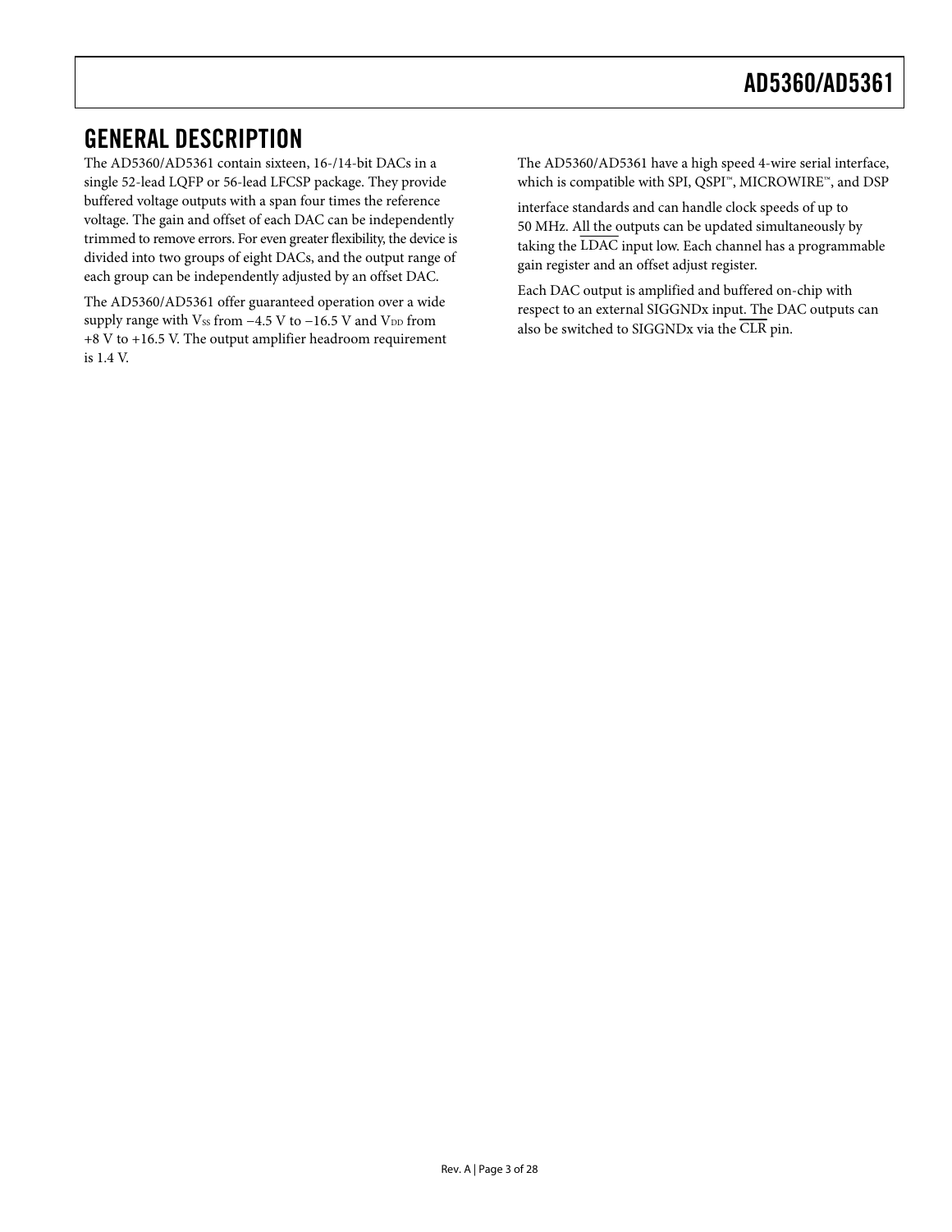### <span id="page-2-0"></span>GENERAL DESCRIPTION

The AD5360/AD5361 contain sixteen, 16-/14-bit DACs in a single 52-lead LQFP or 56-lead LFCSP package. They provide buffered voltage outputs with a span four times the reference voltage. The gain and offset of each DAC can be independently trimmed to remove errors. For even greater flexibility, the device is divided into two groups of eight DACs, and the output range of each group can be independently adjusted by an offset DAC.

The AD5360/AD5361 offer guaranteed operation over a wide supply range with  $V_{SS}$  from  $-4.5$  V to  $-16.5$  V and  $V_{DD}$  from +8 V to +16.5 V. The output amplifier headroom requirement is 1.4 V.

The AD5360/AD5361 have a high speed 4-wire serial interface, which is compatible with SPI, QSPI™, MICROWIRE™, and DSP

interface standards and can handle clock speeds of up to 50 MHz. All the outputs can be updated simultaneously by taking the LDAC input low. Each channel has a programmable gain register and an offset adjust register.

Each DAC output is amplified and buffered on-chip with respect to an external SIGGNDx input. The DAC outputs can also be switched to SIGGNDx via the CLR pin.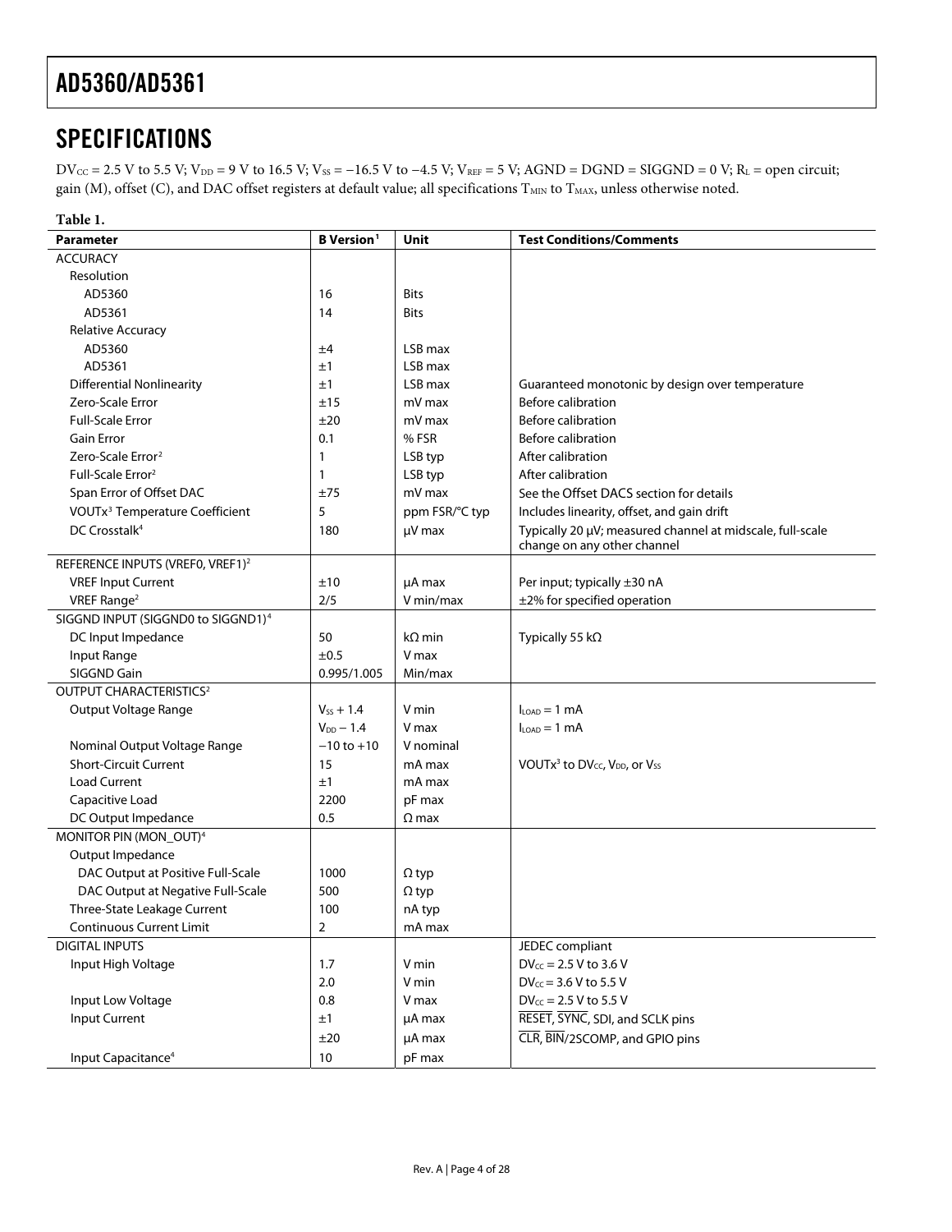## <span id="page-3-1"></span><span id="page-3-0"></span>**SPECIFICATIONS**

 $DV_{CC} = 2.5 V$  to 5.5 V;  $V_{DD} = 9 V$  to 16.5 V;  $V_{SS} = -16.5 V$  to  $-4.5 V$ ;  $V_{REF} = 5 V$ ;  $AGND = DGND = SIGGND = 0 V$ ;  $R_L =$  open circuit; gain (M), offset (C), and DAC offset registers at default value; all specifications  $T_{MIN}$  to  $T_{MAX}$ , unless otherwise noted.

| Table 1.                                       |                               |                |                                                                               |
|------------------------------------------------|-------------------------------|----------------|-------------------------------------------------------------------------------|
| <b>Parameter</b>                               | <b>B</b> Version <sup>1</sup> | Unit           | <b>Test Conditions/Comments</b>                                               |
| <b>ACCURACY</b>                                |                               |                |                                                                               |
| Resolution                                     |                               |                |                                                                               |
| AD5360                                         | 16                            | <b>Bits</b>    |                                                                               |
| AD5361                                         | 14                            | <b>Bits</b>    |                                                                               |
| <b>Relative Accuracy</b>                       |                               |                |                                                                               |
| AD5360                                         | ±4                            | LSB max        |                                                                               |
| AD5361                                         | ±1                            | LSB max        |                                                                               |
| <b>Differential Nonlinearity</b>               | ±1                            | LSB max        | Guaranteed monotonic by design over temperature                               |
| Zero-Scale Error                               | ±15                           | mV max         | <b>Before calibration</b>                                                     |
| <b>Full-Scale Error</b>                        | ±20                           | mV max         | <b>Before calibration</b>                                                     |
| <b>Gain Error</b>                              | 0.1                           | % FSR          | <b>Before calibration</b>                                                     |
| Zero-Scale Error <sup>2</sup>                  | 1                             | LSB typ        | After calibration                                                             |
| Full-Scale Error <sup>2</sup>                  | 1                             | LSB typ        | After calibration                                                             |
| Span Error of Offset DAC                       | ±75                           | mV max         | See the Offset DACS section for details                                       |
| VOUTx <sup>3</sup> Temperature Coefficient     | 5                             | ppm FSR/°C typ | Includes linearity, offset, and gain drift                                    |
| DC Crosstalk <sup>4</sup>                      | 180                           | µV max         | Typically 20 µV; measured channel at midscale, full-scale                     |
|                                                |                               |                | change on any other channel                                                   |
| REFERENCE INPUTS (VREF0, VREF1) <sup>2</sup>   |                               |                |                                                                               |
| <b>VREF Input Current</b>                      | ±10                           | uA max         | Per input; typically ±30 nA                                                   |
| VREF Range <sup>2</sup>                        | 2/5                           | V min/max      | ±2% for specified operation                                                   |
| SIGGND INPUT (SIGGND0 to SIGGND1) <sup>4</sup> |                               |                |                                                                               |
| DC Input Impedance                             | 50                            | $k\Omega$ min  | Typically 55 k $\Omega$                                                       |
| Input Range                                    | $\pm 0.5$                     | V max          |                                                                               |
| SIGGND Gain                                    | 0.995/1.005                   | Min/max        |                                                                               |
| <b>OUTPUT CHARACTERISTICS<sup>2</sup></b>      |                               |                |                                                                               |
| Output Voltage Range                           | $V_{ss} + 1.4$                | V min          | $ILOAD = 1 mA$                                                                |
|                                                | $V_{DD}$ - 1.4                | V max          | $I_{LOAD} = 1$ mA                                                             |
| Nominal Output Voltage Range                   | $-10$ to $+10$                | V nominal      |                                                                               |
| <b>Short-Circuit Current</b>                   | 15                            | mA max         | VOUTx <sup>3</sup> to DV <sub>cc</sub> , V <sub>DD</sub> , or V <sub>SS</sub> |
| <b>Load Current</b>                            | ±1                            | mA max         |                                                                               |
| Capacitive Load                                | 2200                          | pF max         |                                                                               |
| DC Output Impedance                            | 0.5                           | $\Omega$ max   |                                                                               |
| MONITOR PIN (MON_OUT) <sup>4</sup>             |                               |                |                                                                               |
| Output Impedance                               |                               |                |                                                                               |
| DAC Output at Positive Full-Scale              | 1000                          | $\Omega$ typ   |                                                                               |
| DAC Output at Negative Full-Scale              | 500                           | $\Omega$ typ   |                                                                               |
| Three-State Leakage Current                    | 100                           | nA typ         |                                                                               |
| <b>Continuous Current Limit</b>                | $\overline{2}$                | mA max         |                                                                               |
| <b>DIGITAL INPUTS</b>                          |                               |                | JEDEC compliant                                                               |
| Input High Voltage                             | 1.7                           | V min          | $DV_{CC} = 2.5 V$ to 3.6 V                                                    |
|                                                | 2.0                           | V min          | $DV_{CC} = 3.6 V$ to 5.5 V                                                    |
| Input Low Voltage                              | 0.8                           | V max          | $DV_{CC} = 2.5 V$ to 5.5 V                                                    |
| Input Current                                  | ±1                            | µA max         | RESET, SYNC, SDI, and SCLK pins                                               |
|                                                | ±20                           | µA max         | CLR, BIN/2SCOMP, and GPIO pins                                                |
| Input Capacitance <sup>4</sup>                 | 10                            | pF max         |                                                                               |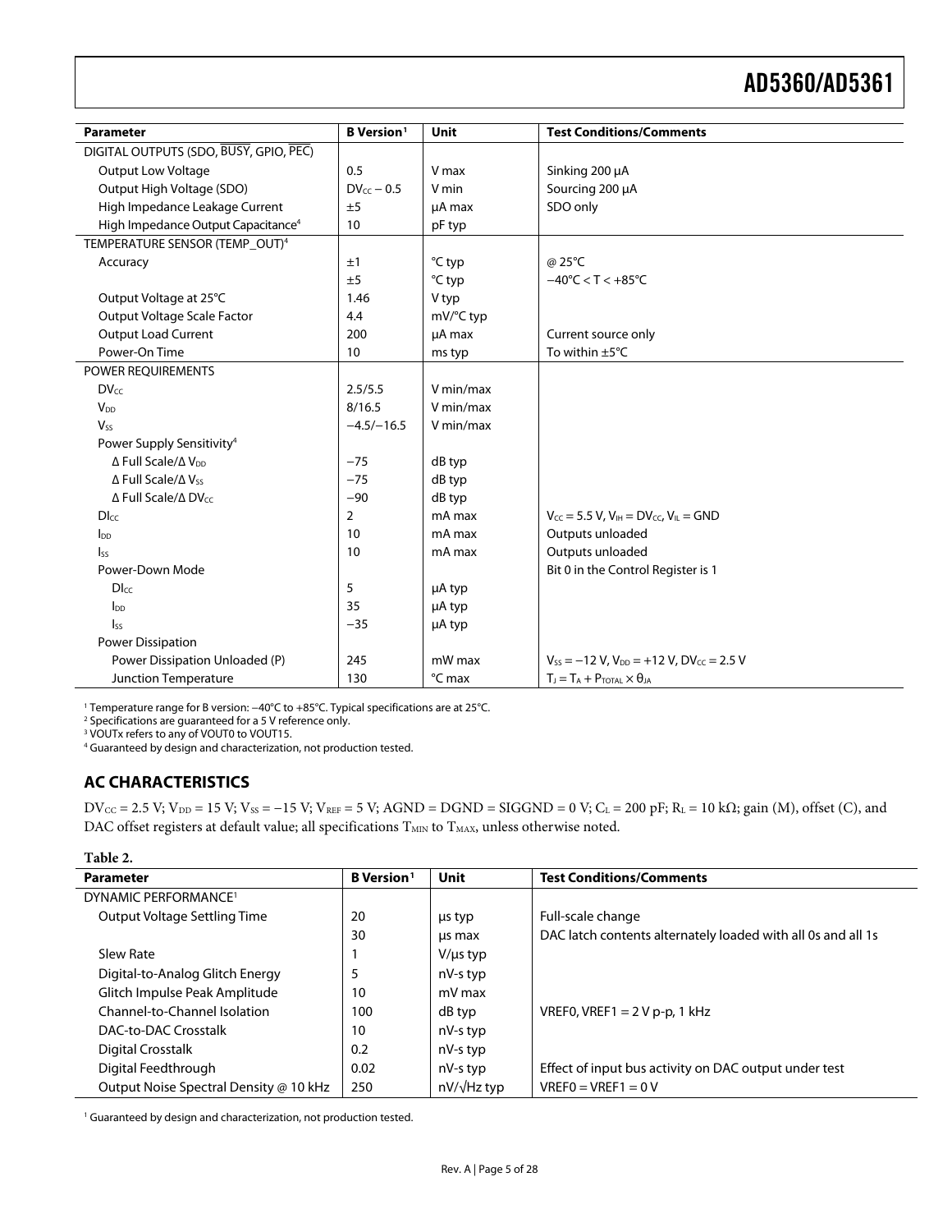<span id="page-4-0"></span>

| <b>Parameter</b>                               | <b>B</b> Version <sup>1</sup> | Unit      | <b>Test Conditions/Comments</b>                         |
|------------------------------------------------|-------------------------------|-----------|---------------------------------------------------------|
| DIGITAL OUTPUTS (SDO, BUSY, GPIO, PEC)         |                               |           |                                                         |
| <b>Output Low Voltage</b>                      | 0.5                           | V max     | Sinking 200 µA                                          |
| Output High Voltage (SDO)                      | $DV_{cc}$ – 0.5               | V min     | Sourcing 200 µA                                         |
|                                                |                               |           |                                                         |
| High Impedance Leakage Current                 | ±5                            | µA max    | SDO only                                                |
| High Impedance Output Capacitance <sup>4</sup> | 10                            | pF typ    |                                                         |
| TEMPERATURE SENSOR (TEMP_OUT) <sup>4</sup>     |                               |           |                                                         |
| Accuracy                                       | ±1                            | °C typ    | @ 25°C                                                  |
|                                                | ±5                            | °C typ    | $-40^{\circ}$ C < T < $+85^{\circ}$ C                   |
| Output Voltage at 25°C                         | 1.46                          | V typ     |                                                         |
| Output Voltage Scale Factor                    | 4.4                           | mV/°C typ |                                                         |
| <b>Output Load Current</b>                     | 200                           | µA max    | Current source only                                     |
| Power-On Time                                  | 10                            | ms typ    | To within $\pm 5^{\circ}$ C                             |
| <b>POWER REOUIREMENTS</b>                      |                               |           |                                                         |
| <b>DVcc</b>                                    | 2.5/5.5                       | V min/max |                                                         |
| V <sub>DD</sub>                                | 8/16.5                        | V min/max |                                                         |
| $V_{ss}$                                       | $-4.5/-16.5$                  | V min/max |                                                         |
| Power Supply Sensitivity <sup>4</sup>          |                               |           |                                                         |
| Δ Full Scale/Δ V <sub>DD</sub>                 | $-75$                         | dB typ    |                                                         |
| $\Delta$ Full Scale/ $\Delta$ Vss              | $-75$                         | dB typ    |                                                         |
| $\Delta$ Full Scale/ $\Delta$ DV $cc$          | $-90$                         | dB typ    |                                                         |
| <b>D</b> I <sub>cc</sub>                       | $\overline{2}$                | mA max    | $V_{CC} = 5.5 V$ , $V_{IH} = DV_{CC}$ , $V_{IL} = GND$  |
| $I_{DD}$                                       | 10                            | mA max    | Outputs unloaded                                        |
| $\mathsf{ls}$                                  | 10                            | mA max    | Outputs unloaded                                        |
| Power-Down Mode                                |                               |           | Bit 0 in the Control Register is 1                      |
| <b>D</b> <sub>cc</sub>                         | 5                             | µA typ    |                                                         |
| Ino                                            | 35                            | µA typ    |                                                         |
| $\mathsf{I}_{\mathsf{SS}}$                     | $-35$                         | µA typ    |                                                         |
| <b>Power Dissipation</b>                       |                               |           |                                                         |
| Power Dissipation Unloaded (P)                 | 245                           | mW max    | $V_{SS} = -12 V$ , $V_{DD} = +12 V$ , $DV_{CC} = 2.5 V$ |
| Junction Temperature                           | 130                           | °C max    | $T_J = T_A + P_{\text{TOTAL}} \times \theta_{JA}$       |

1 Temperature range for B version: −40°C to +85°C. Typical specifications are at 25°C.

2 Specifications are guaranteed for a 5 V reference only.

<sup>3</sup> VOUTx refers to any of VOUT0 to VOUT15.

4 Guaranteed by design and characterization, not production tested.

### **AC CHARACTERISTICS**

 $DV_{CC} = 2.5 V$ ;  $V_{DD} = 15 V$ ;  $V_{SS} = -15 V$ ;  $V_{REF} = 5 V$ ;  $AGND = DGND = SIGGND = 0 V$ ;  $C_L = 200 pF$ ;  $R_L = 10 k\Omega$ ; gain (M), offset (C), and DAC offset registers at default value; all specifications  $T_{\text{MIN}}$  to  $T_{\text{MAX}}$ , unless otherwise noted.

#### **Table 2.**

| <b>Parameter</b>                       | B Version <sup>1</sup> | Unit          | <b>Test Conditions/Comments</b>                              |
|----------------------------------------|------------------------|---------------|--------------------------------------------------------------|
| DYNAMIC PERFORMANCE <sup>1</sup>       |                        |               |                                                              |
| Output Voltage Settling Time           | 20                     | us typ        | Full-scale change                                            |
|                                        | 30                     | us max        | DAC latch contents alternately loaded with all 0s and all 1s |
| Slew Rate                              |                        | $V/\mu s$ typ |                                                              |
| Digital-to-Analog Glitch Energy        | 5                      | nV-s typ      |                                                              |
| Glitch Impulse Peak Amplitude          | 10                     | mV max        |                                                              |
| Channel-to-Channel Isolation           | 100                    | dB typ        | VREF0, VREF1 = $2V$ p-p, 1 kHz                               |
| DAC-to-DAC Crosstalk                   | 10                     | nV-s typ      |                                                              |
| Digital Crosstalk                      | 0.2                    | nV-s typ      |                                                              |
| Digital Feedthrough                    | 0.02                   | nV-s typ      | Effect of input bus activity on DAC output under test        |
| Output Noise Spectral Density @ 10 kHz | 250                    | nV/√Hz typ    | $VREF0=VREF1=0 V$                                            |

<sup>1</sup> Guaranteed by design and characterization, not production tested.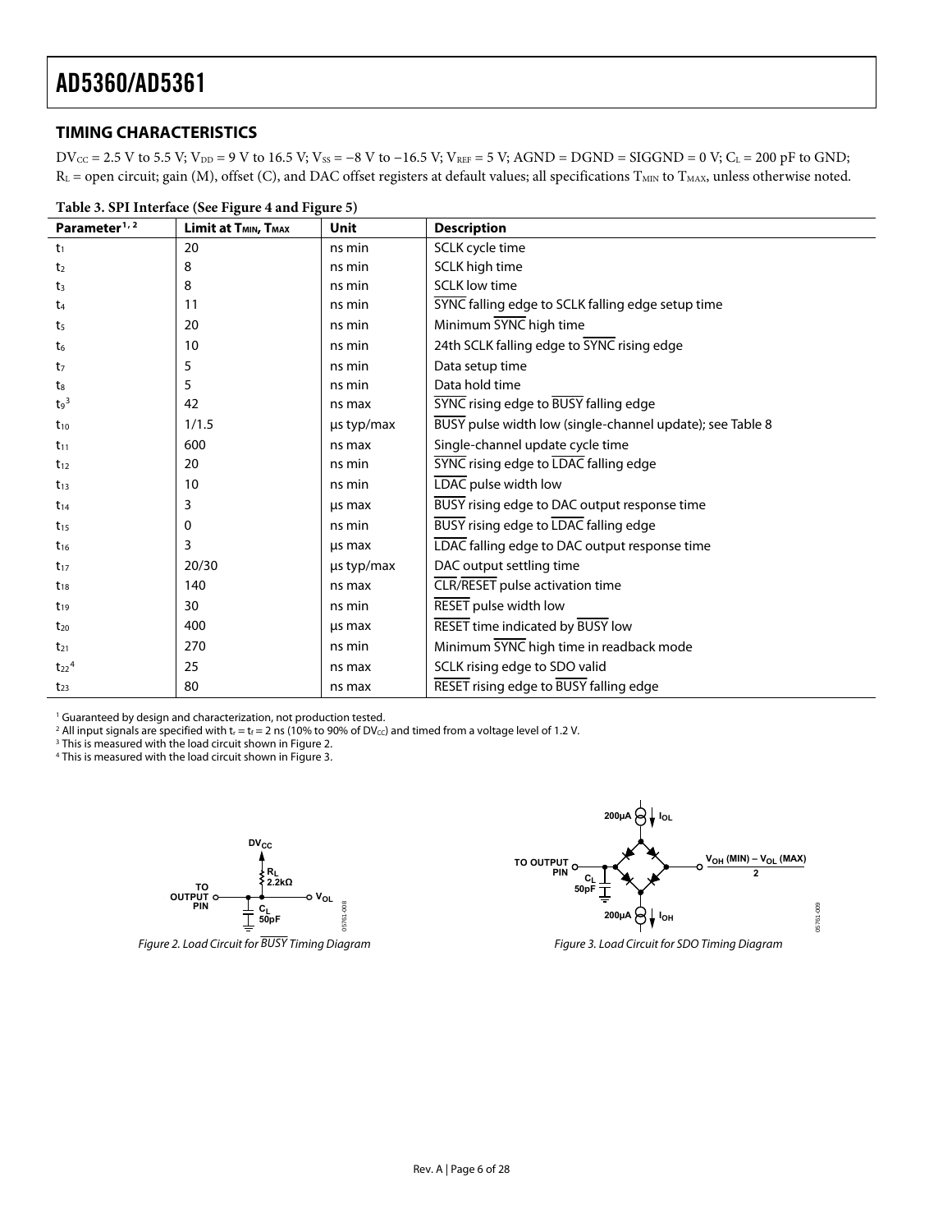### <span id="page-5-0"></span>**TIMING CHARACTERISTICS**

 $DV_{CC} = 2.5 V$  to 5.5 V;  $V_{DD} = 9 V$  to 16.5 V;  $V_{SS} = -8 V$  to  $-16.5 V$ ;  $V_{REF} = 5 V$ ;  $AGND = DGND = SIGGND = 0 V$ ;  $C_L = 200 pF$  to  $GND$ ;  $R_L$  = open circuit; gain (M), offset (C), and DAC offset registers at default values; all specifications  $T_{MIN}$  to  $T_{MAX}$ , unless otherwise noted.

| Table 3. SPI Interface (See Figure 4 and Figure 5) |                                              |            |                                                           |  |
|----------------------------------------------------|----------------------------------------------|------------|-----------------------------------------------------------|--|
| Parameter <sup>1, 2</sup>                          | Limit at T <sub>MIN</sub> , T <sub>MAX</sub> | Unit       | <b>Description</b>                                        |  |
| t <sub>1</sub>                                     | 20                                           | ns min     | SCLK cycle time                                           |  |
| t <sub>2</sub>                                     | 8                                            | ns min     | SCLK high time                                            |  |
| $t_3$                                              | 8                                            | ns min     | <b>SCLK low time</b>                                      |  |
| t4                                                 | 11                                           | ns min     | SYNC falling edge to SCLK falling edge setup time         |  |
| ts                                                 | 20                                           | ns min     | Minimum SYNC high time                                    |  |
| t6                                                 | 10                                           | ns min     | 24th SCLK falling edge to SYNC rising edge                |  |
| t <sub>7</sub>                                     | 5                                            | ns min     | Data setup time                                           |  |
| ts                                                 | 5                                            | ns min     | Data hold time                                            |  |
| $t_9$ <sup>3</sup>                                 | 42                                           | ns max     | SYNC rising edge to BUSY falling edge                     |  |
| $t_{10}$                                           | 1/1.5                                        | µs typ/max | BUSY pulse width low (single-channel update); see Table 8 |  |
| $t_{11}$                                           | 600                                          | ns max     | Single-channel update cycle time                          |  |
| $t_{12}$                                           | 20                                           | ns min     | <b>SYNC</b> rising edge to LDAC falling edge              |  |
| $t_{13}$                                           | 10                                           | ns min     | LDAC pulse width low                                      |  |
| $t_{14}$                                           | 3                                            | us max     | BUSY rising edge to DAC output response time              |  |
| $t_{15}$                                           | 0                                            | ns min     | BUSY rising edge to LDAC falling edge                     |  |
| $t_{16}$                                           | 3                                            | us max     | LDAC falling edge to DAC output response time             |  |
| $t_{17}$                                           | 20/30                                        | us typ/max | DAC output settling time                                  |  |
| $t_{18}$                                           | 140                                          | ns max     | CLR/RESET pulse activation time                           |  |
| $t_{19}$                                           | 30                                           | ns min     | RESET pulse width low                                     |  |
| $t_{20}$                                           | 400                                          | us max     | RESET time indicated by BUSY low                          |  |
| $t_{21}$                                           | 270                                          | ns min     | Minimum SYNC high time in readback mode                   |  |
| $t_{22}$ <sup>4</sup>                              | 25                                           | ns max     | SCLK rising edge to SDO valid                             |  |
| $t_{23}$                                           | 80                                           | ns max     | RESET rising edge to BUSY falling edge                    |  |

<sup>1</sup> Guaranteed by design and characterization, not production tested.

<sup>2</sup> All input signals are specified with t<sub>r</sub> = t<sub>f</sub> = 2 ns (10% to 90% of DV<sub>CC</sub>) and timed from a voltage level of 1.2 V.<br><sup>3</sup> This is measured with the load circuit shown in Figure 2

<sup>3</sup> This is measured with the load circuit shown in Figure 2. 4 This is measured with the load circuit shown in Figure 3.



Figure 2. Load Circuit for BUSY Timing Diagram Figure 3. Load Circuit for SDO Timing Diagram

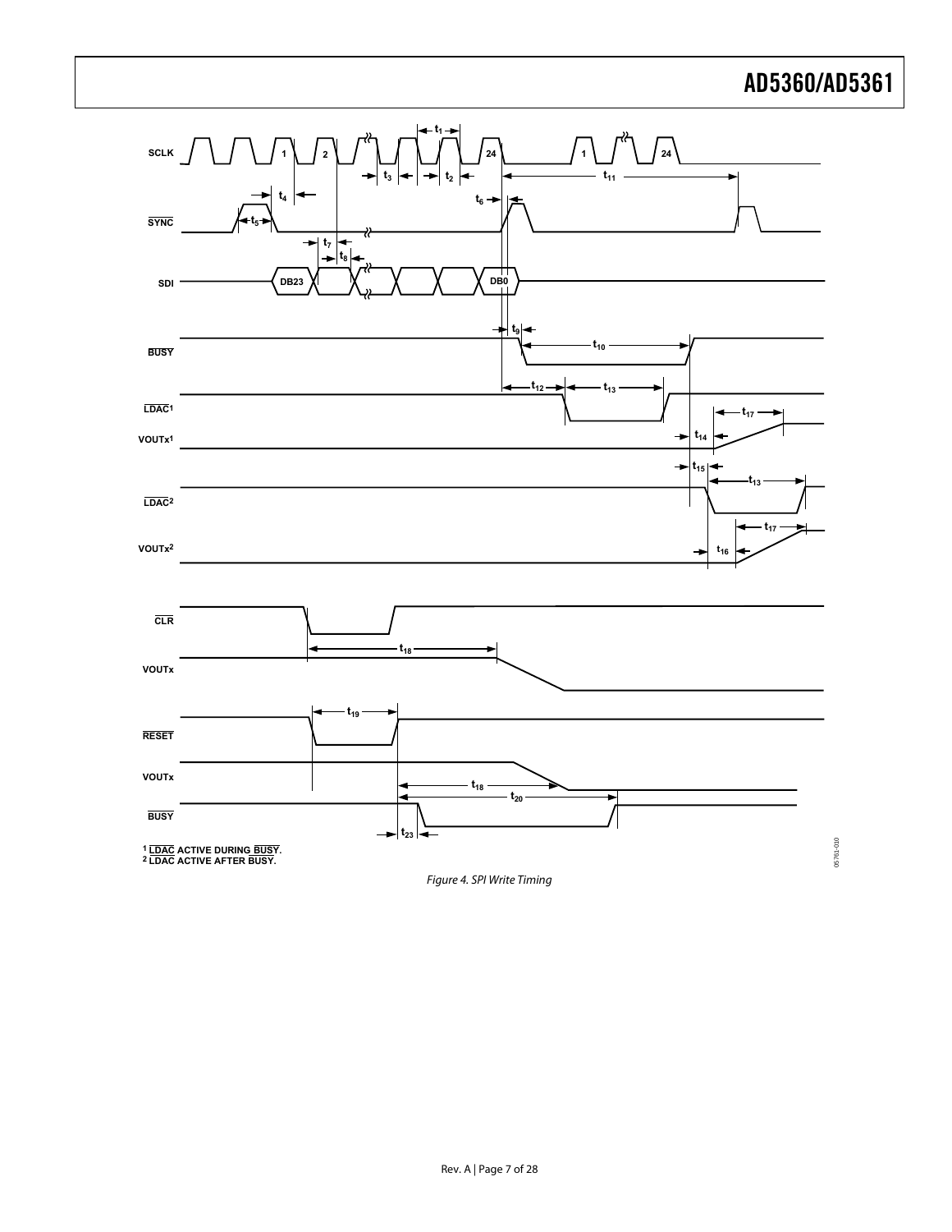05761-010



<span id="page-6-0"></span>Figure 4. SPI Write Timing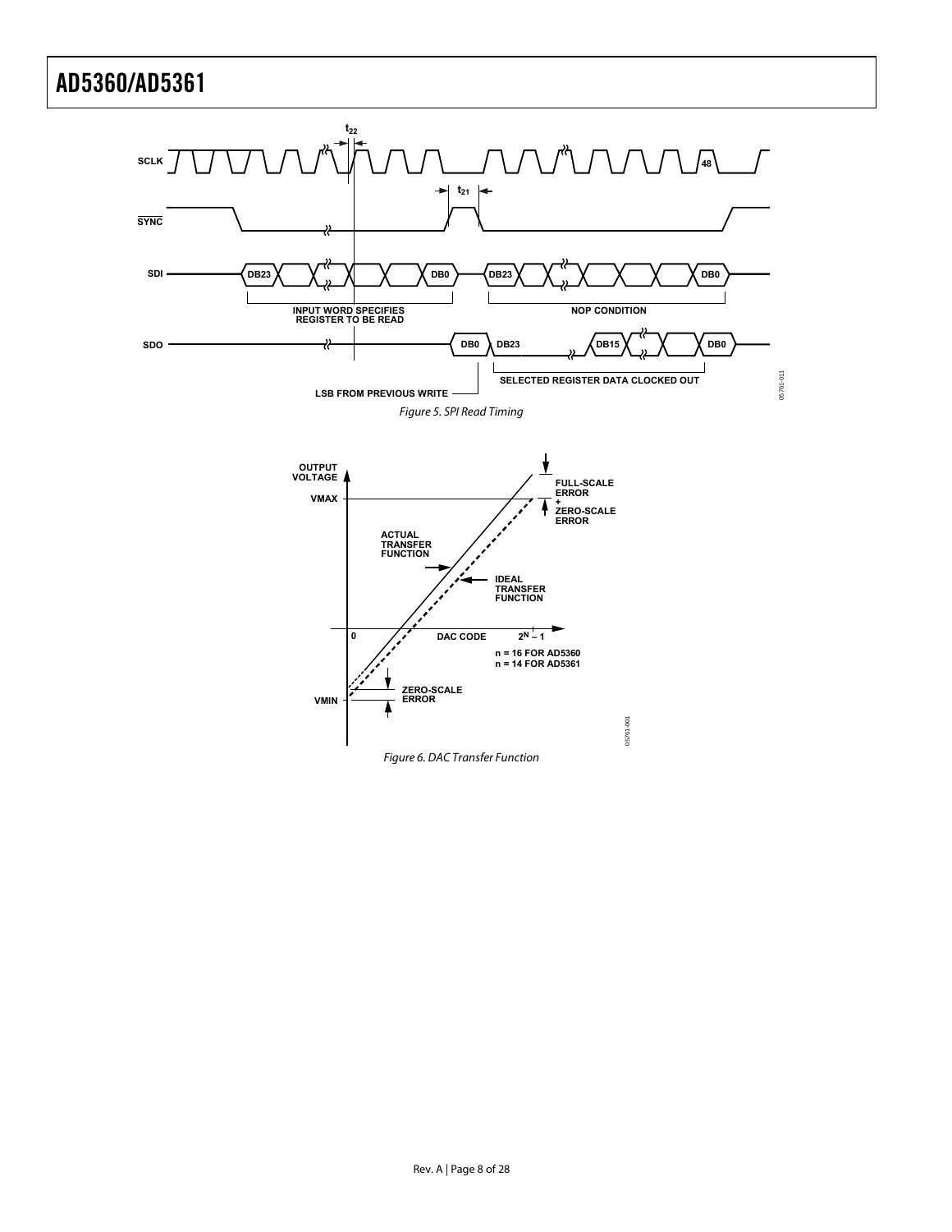<span id="page-7-0"></span>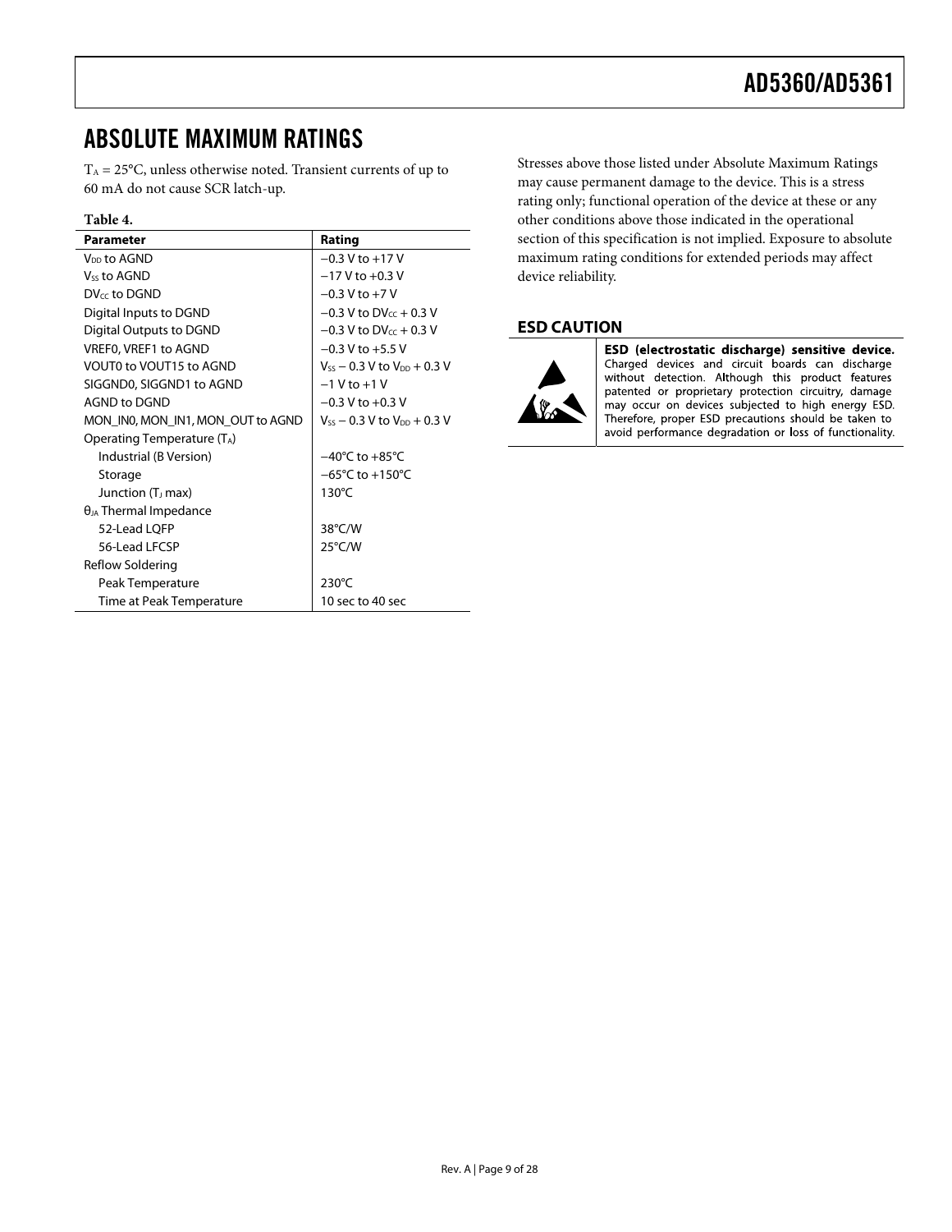### <span id="page-8-1"></span><span id="page-8-0"></span>ABSOLUTE MAXIMUM RATINGS

 $T_A = 25$ °C, unless otherwise noted. Transient currents of up to 60 mA do not cause SCR latch-up.

### **Table 4.**

| <b>Parameter</b>                  | Rating                               |  |
|-----------------------------------|--------------------------------------|--|
| V <sub>DD</sub> to AGND           | $-0.3$ V to $+17$ V                  |  |
| Vss to AGND                       | $-17$ V to $+0.3$ V                  |  |
|                                   |                                      |  |
| $DV_{cc}$ to DGND                 | $-0.3$ V to $+7$ V                   |  |
| Digital Inputs to DGND            | $-0.3$ V to DV $cc + 0.3$ V          |  |
| Digital Outputs to DGND           | $-0.3$ V to DV <sub>cc</sub> + 0.3 V |  |
| VREF0, VREF1 to AGND              | $-0.3$ V to $+5.5$ V                 |  |
| VOUTO to VOUT15 to AGND           | $V_{ss}$ – 0.3 V to $V_{DD}$ + 0.3 V |  |
| SIGGND0, SIGGND1 to AGND          | $-1$ V to $+1$ V                     |  |
| AGND to DGND                      | $-0.3$ V to $+0.3$ V                 |  |
| MON_IN0, MON_IN1, MON_OUT to AGND | $V_{ss}$ – 0.3 V to $V_{DD}$ + 0.3 V |  |
| Operating Temperature (TA)        |                                      |  |
| Industrial (B Version)            | $-40^{\circ}$ C to $+85^{\circ}$ C   |  |
| Storage                           | $-65^{\circ}$ C to $+150^{\circ}$ C  |  |
| Junction (T <sub>J</sub> max)     | $130^{\circ}$ C                      |  |
| $\theta_{JA}$ Thermal Impedance   |                                      |  |
| 52-Lead LQFP                      | $38^{\circ}$ C/W                     |  |
| 56-Lead LECSP                     | 25°C/W                               |  |
| Reflow Soldering                  |                                      |  |
| Peak Temperature                  | $230^{\circ}$ C                      |  |
| Time at Peak Temperature          | 10 sec to 40 sec                     |  |

Stresses above those listed under Absolute Maximum Ratings may cause permanent damage to the device. This is a stress rating only; functional operation of the device at these or any other conditions above those indicated in the operational section of this specification is not implied. Exposure to absolute maximum rating conditions for extended periods may affect device reliability.

### **ESD CAUTION**



ESD (electrostatic discharge) sensitive device. Charged devices and circuit boards can discharge without detection. Although this product features patented or proprietary protection circuitry, damage may occur on devices subjected to high energy ESD. Therefore, proper ESD precautions should be taken to avoid performance degradation or loss of functionality.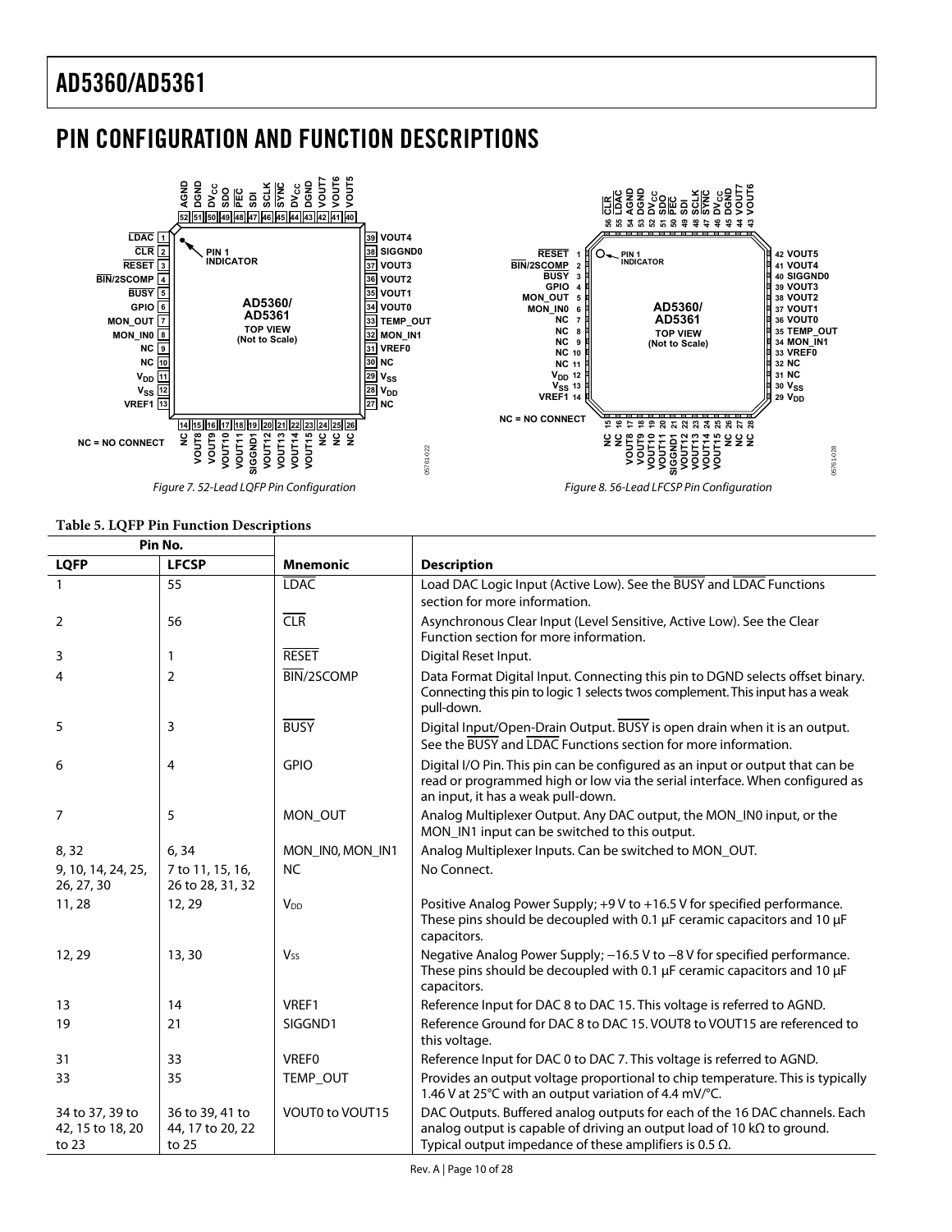# <span id="page-9-0"></span>PIN CONFIGURATION AND FUNCTION DESCRIPTIONS



**Table 5. LQFP Pin Function Descriptions** 

#### **Pin No. LQFP LFCSP Mnemonic Description**  1 55 **LOAC LOAG LOAD LOAD LOAD LOAD LOGIC Input** (Active Low). See the BUSY and LOAC Functions section for more information. 2 1 56 | CLR | CLR | Asynchronous [Clear](#page-18-1) Input (Level Sensitive, Active Low). See the Clear [Function s](#page-18-1)ection for more information. 3 1 1 RESET Digital Reset Input. 4 2 BIN/2SCOMP Data Format Digital Input. Connecting this pin to DGND selects offset binary. Connecting this pin to logic 1 selects twos complement. This input has a weak pull-down. 5 3 BUSY Digital Input/Open-Drain Output. BUSY is open drain when it is an output. See th[e BUSY and LDAC Functions s](#page-18-1)ection for more information. 6 4 GPIO Digital I/O Pin. This pin can be configured as an input or output that can be read or programmed high or low via the serial interface. When configured as an input, it has a weak pull-down. 7 5 MON\_OUT Analog Multiplexer Output. Any DAC output, the MON\_IN0 input, or the MON\_IN1 input can be switched to this output. 8, 32 6, 34 MON\_INO, MON\_IN1 Analog Multiplexer Inputs. Can be switched to MON\_OUT. 9, 10, 14, 24, 25, 26, 27, 30 7 to 11, 15, 16, 26 to 28, 31, 32 NC No Connect. 11, 28 12, 29  $|V_{DD}$  Positive Analog Power Supply; +9 V to +16.5 V for specified performance. These pins should be decoupled with 0.1 μF ceramic capacitors and 10 μF capacitors. 12, 29 13, 30  $\vert$  Vss Negative Analog Power Supply; −16.5 V to −8 V for specified performance. These pins should be decoupled with 0.1 μF ceramic capacitors and 10 μF capacitors. 13 14 | VREF1 Reference Input for DAC 8 to DAC 15. This voltage is referred to AGND. 19 19 21 SIGGND1 Reference Ground for DAC 8 to DAC 15. VOUT8 to VOUT15 are referenced to this voltage. 31 33 VREFO Reference Input for DAC 0 to DAC 7. This voltage is referred to AGND. 33 33 TEMP\_OUT Provides an output voltage proportional to chip temperature. This is typically 1.46 V at 25°C with an output variation of 4.4 mV/°C. 34 to 37, 39 to 42, 15 to 18, 20 to 23 36 to 39, 41 to 44, 17 to 20, 22 to 25 VOUT0 to VOUT15 | DAC Outputs. Buffered analog outputs for each of the 16 DAC channels. Each analog output is capable of driving an output load of 10 kΩ to ground. Typical output impedance of these amplifiers is 0.5  $\Omega$ .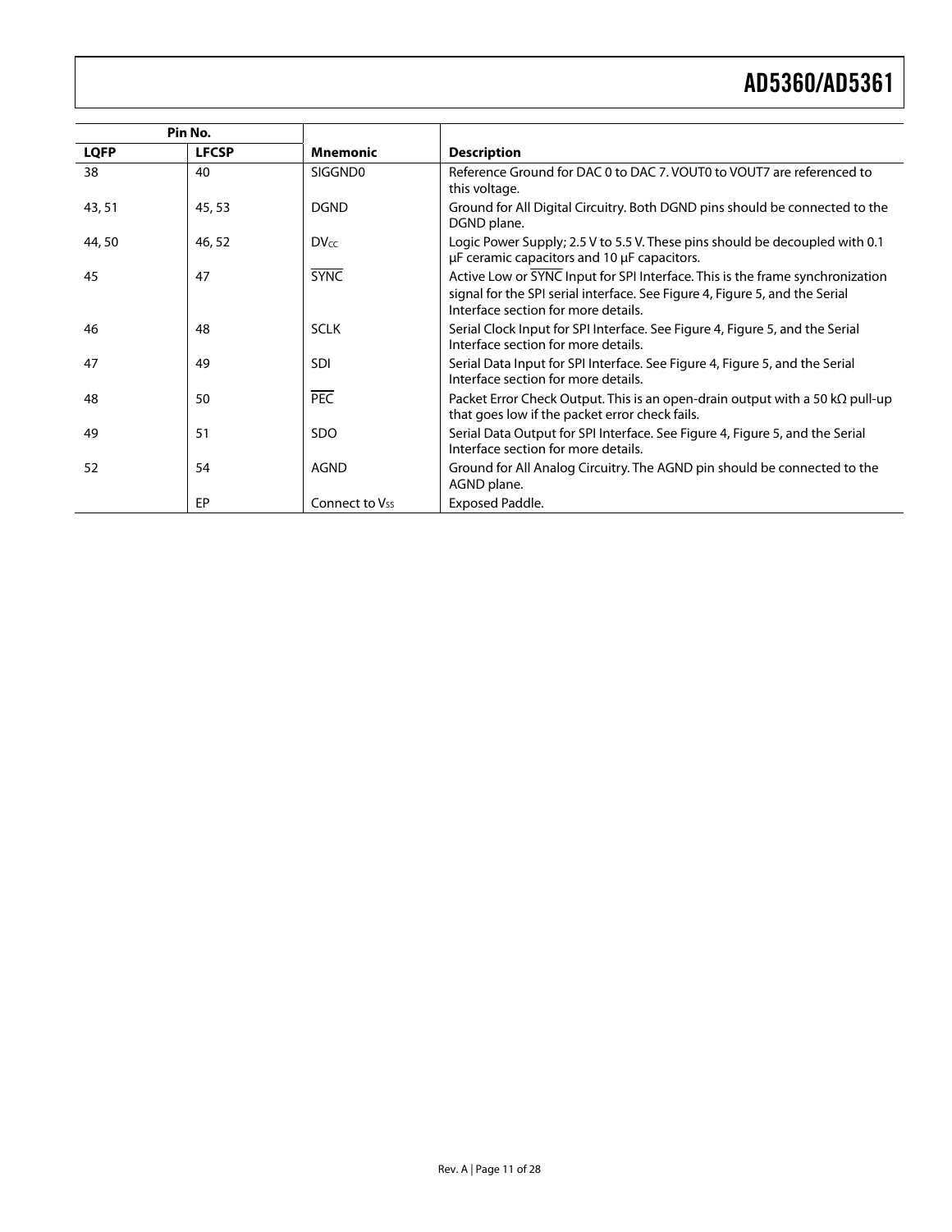|             | Pin No.      |                            |                                                                                                                                                                                                     |
|-------------|--------------|----------------------------|-----------------------------------------------------------------------------------------------------------------------------------------------------------------------------------------------------|
| <b>LQFP</b> | <b>LFCSP</b> | <b>Mnemonic</b>            | <b>Description</b>                                                                                                                                                                                  |
| 38          | 40           | SIGGND0                    | Reference Ground for DAC 0 to DAC 7, VOUT0 to VOUT7 are referenced to<br>this voltage.                                                                                                              |
| 43, 51      | 45, 53       | <b>DGND</b>                | Ground for All Digital Circuitry. Both DGND pins should be connected to the<br>DGND plane.                                                                                                          |
| 44,50       | 46,52        | <b>DVcc</b>                | Logic Power Supply; 2.5 V to 5.5 V. These pins should be decoupled with 0.1<br>µF ceramic capacitors and 10 µF capacitors.                                                                          |
| 45          | 47           | <b>SYNC</b>                | Active Low or SYNC Input for SPI Interface. This is the frame synchronization<br>signal for the SPI serial interface. See Figure 4, Figure 5, and the Serial<br>Interface section for more details. |
| 46          | 48           | <b>SCLK</b>                | Serial Clock Input for SPI Interface. See Figure 4, Figure 5, and the Serial<br>Interface section for more details.                                                                                 |
| 47          | 49           | <b>SDI</b>                 | Serial Data Input for SPI Interface. See Figure 4, Figure 5, and the Serial<br>Interface section for more details.                                                                                  |
| 48          | 50           | <b>PEC</b>                 | Packet Error Check Output. This is an open-drain output with a 50 k $\Omega$ pull-up<br>that goes low if the packet error check fails.                                                              |
| 49          | 51           | <b>SDO</b>                 | Serial Data Output for SPI Interface. See Figure 4, Figure 5, and the Serial<br>Interface section for more details.                                                                                 |
| 52          | 54           | <b>AGND</b>                | Ground for All Analog Circuitry. The AGND pin should be connected to the<br>AGND plane.                                                                                                             |
|             | EP           | Connect to V <sub>ss</sub> | <b>Exposed Paddle.</b>                                                                                                                                                                              |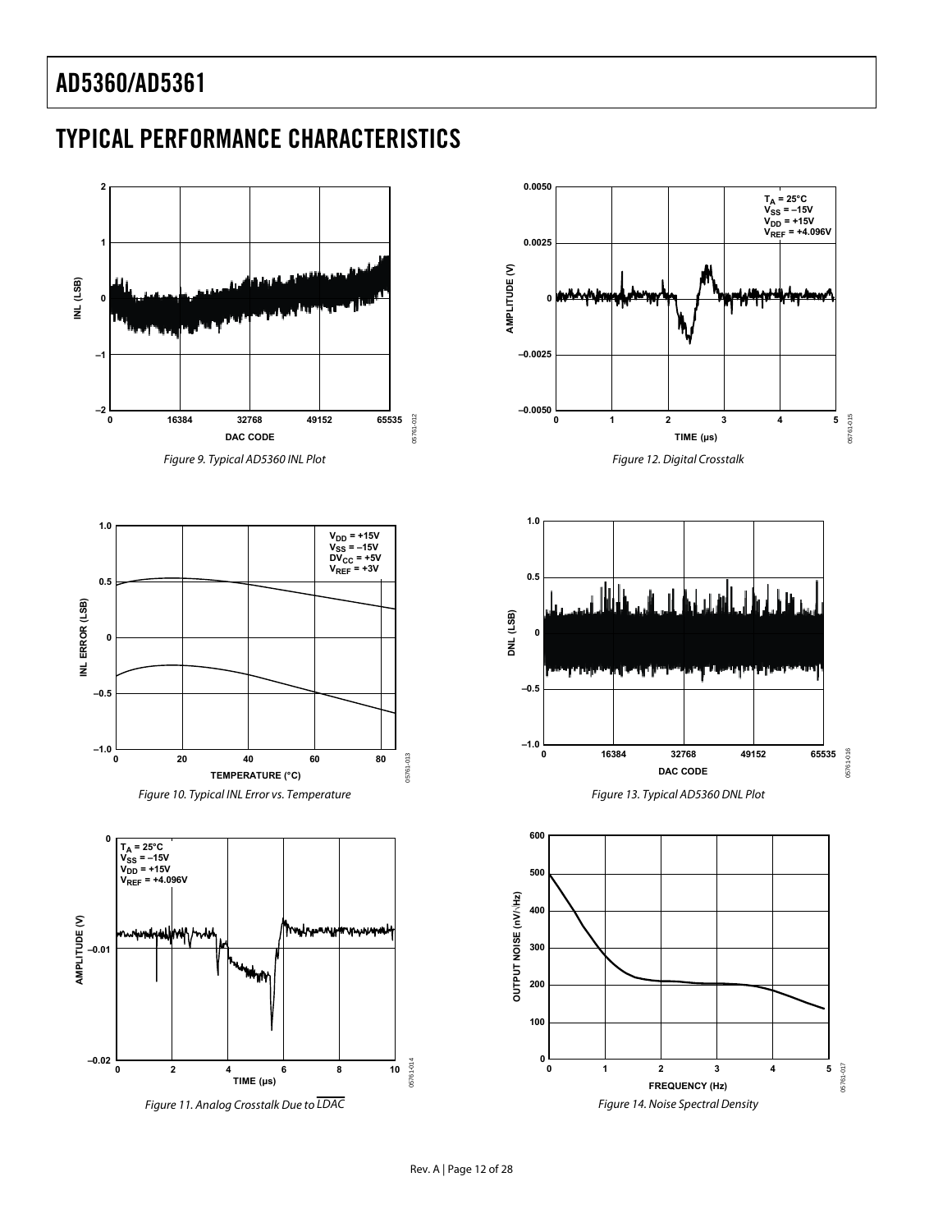### <span id="page-11-0"></span>TYPICAL PERFORMANCE CHARACTERISTICS

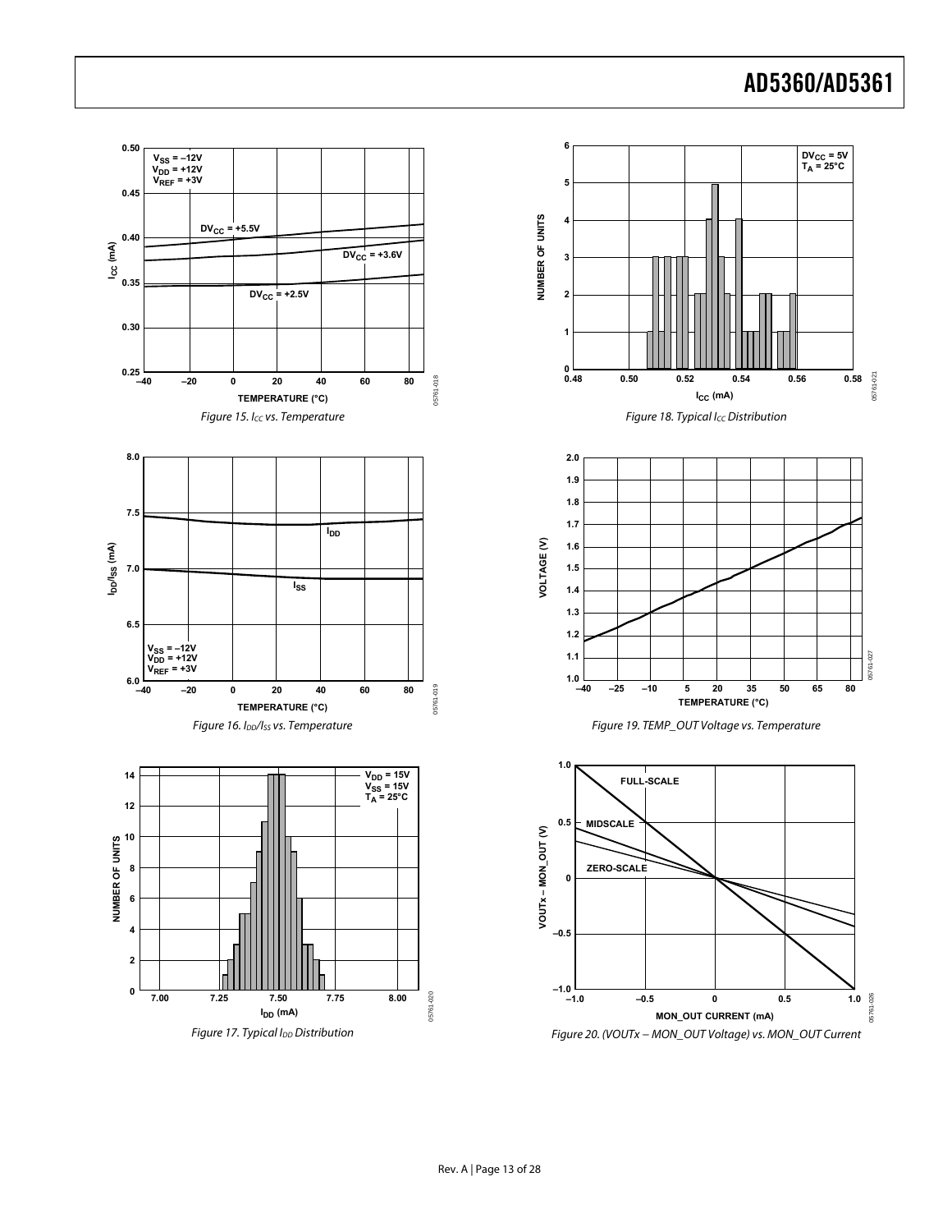<span id="page-12-0"></span>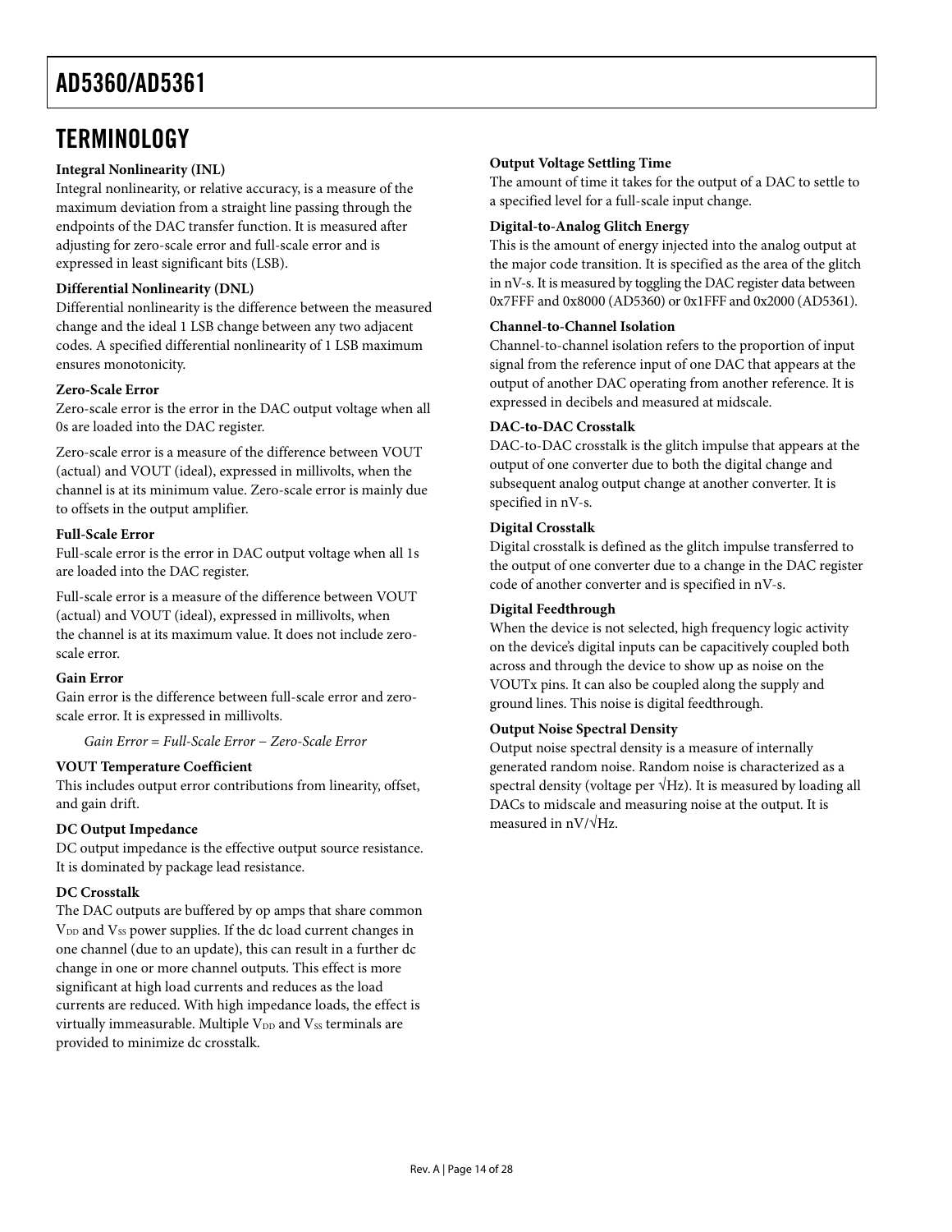### <span id="page-13-0"></span>**TERMINOLOGY**

### **Integral Nonlinearity (INL)**

Integral nonlinearity, or relative accuracy, is a measure of the maximum deviation from a straight line passing through the endpoints of the DAC transfer function. It is measured after adjusting for zero-scale error and full-scale error and is expressed in least significant bits (LSB).

### **Differential Nonlinearity (DNL)**

Differential nonlinearity is the difference between the measured change and the ideal 1 LSB change between any two adjacent codes. A specified differential nonlinearity of 1 LSB maximum ensures monotonicity.

### **Zero-Scale Error**

Zero-scale error is the error in the DAC output voltage when all 0s are loaded into the DAC register.

Zero-scale error is a measure of the difference between VOUT (actual) and VOUT (ideal), expressed in millivolts, when the channel is at its minimum value. Zero-scale error is mainly due to offsets in the output amplifier.

### **Full-Scale Error**

Full-scale error is the error in DAC output voltage when all 1s are loaded into the DAC register.

Full-scale error is a measure of the difference between VOUT (actual) and VOUT (ideal), expressed in millivolts, when the channel is at its maximum value. It does not include zeroscale error.

### **Gain Error**

Gain error is the difference between full-scale error and zeroscale error. It is expressed in millivolts.

*Gain Error* = *Full-Scale Error* − *Zero-Scale Error*

### **VOUT Temperature Coefficient**

This includes output error contributions from linearity, offset, and gain drift.

### **DC Output Impedance**

DC output impedance is the effective output source resistance. It is dominated by package lead resistance.

### **DC Crosstalk**

The DAC outputs are buffered by op amps that share common V<sub>DD</sub> and V<sub>SS</sub> power supplies. If the dc load current changes in one channel (due to an update), this can result in a further dc change in one or more channel outputs. This effect is more significant at high load currents and reduces as the load currents are reduced. With high impedance loads, the effect is virtually immeasurable. Multiple  $V_{DD}$  and  $V_{SS}$  terminals are provided to minimize dc crosstalk.

### **Output Voltage Settling Time**

The amount of time it takes for the output of a DAC to settle to a specified level for a full-scale input change.

### **Digital-to-Analog Glitch Energy**

This is the amount of energy injected into the analog output at the major code transition. It is specified as the area of the glitch in nV-s. It is measured by toggling the DAC register data between 0x7FFF and 0x8000 (AD5360) or 0x1FFF and 0x2000 (AD5361).

### **Channel-to-Channel Isolation**

Channel-to-channel isolation refers to the proportion of input signal from the reference input of one DAC that appears at the output of another DAC operating from another reference. It is expressed in decibels and measured at midscale.

### **DAC-to-DAC Crosstalk**

DAC-to-DAC crosstalk is the glitch impulse that appears at the output of one converter due to both the digital change and subsequent analog output change at another converter. It is specified in nV-s.

### **Digital Crosstalk**

Digital crosstalk is defined as the glitch impulse transferred to the output of one converter due to a change in the DAC register code of another converter and is specified in nV-s.

### **Digital Feedthrough**

When the device is not selected, high frequency logic activity on the device's digital inputs can be capacitively coupled both across and through the device to show up as noise on the VOUTx pins. It can also be coupled along the supply and ground lines. This noise is digital feedthrough.

### **Output Noise Spectral Density**

Output noise spectral density is a measure of internally generated random noise. Random noise is characterized as a spectral density (voltage per  $\sqrt{Hz}$ ). It is measured by loading all DACs to midscale and measuring noise at the output. It is measured in nV/√Hz.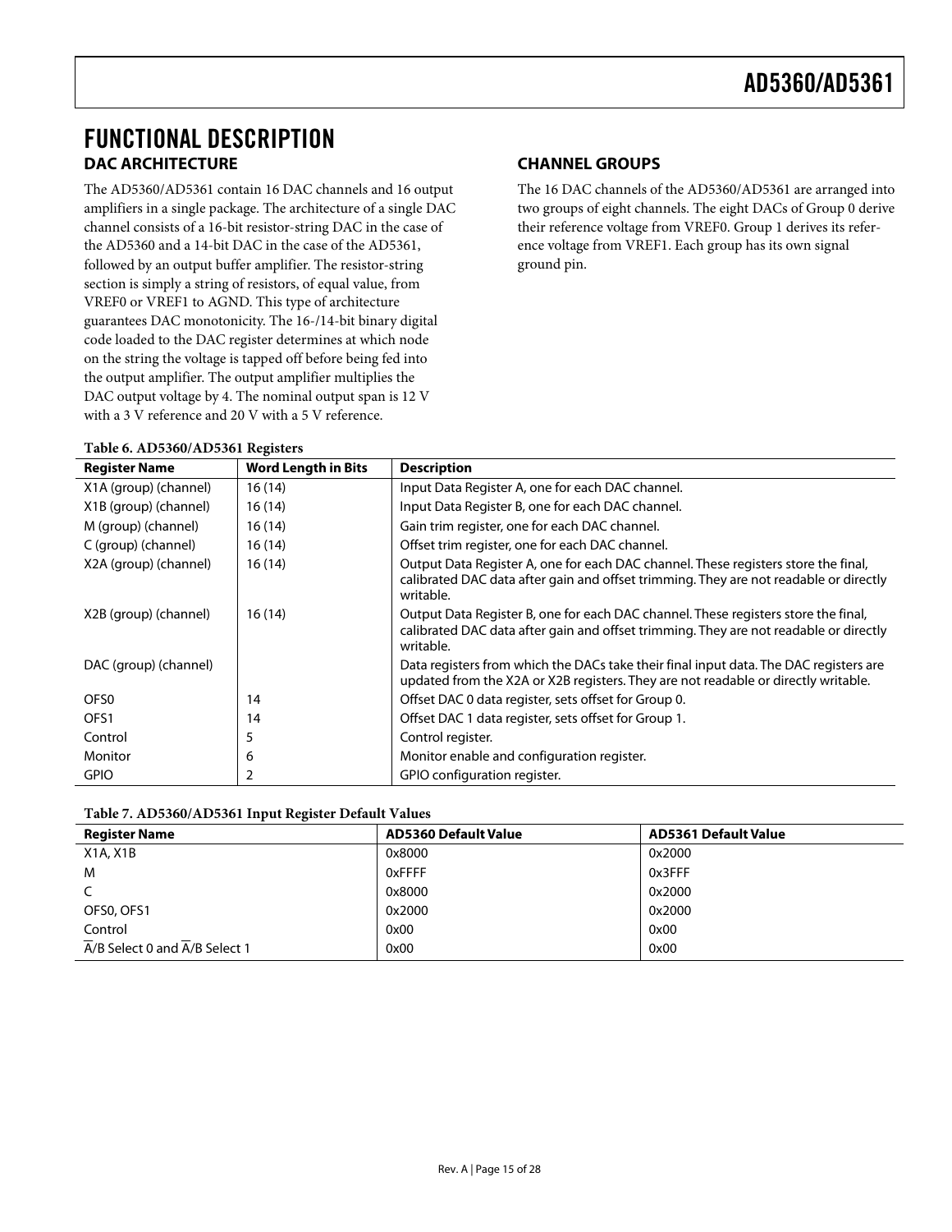### <span id="page-14-0"></span>FUNCTIONAL DESCRIPTION **DAC ARCHITECTURE**

**Table 6. AD5360/AD5361 Registers** 

The AD5360/AD5361 contain 16 DAC channels and 16 output amplifiers in a single package. The architecture of a single DAC channel consists of a 16-bit resistor-string DAC in the case of the AD5360 and a 14-bit DAC in the case of the AD5361, followed by an output buffer amplifier. The resistor-string section is simply a string of resistors, of equal value, from VREF0 or VREF1 to AGND. This type of architecture guarantees DAC monotonicity. The 16-/14-bit binary digital code loaded to the DAC register determines at which node on the string the voltage is tapped off before being fed into the output amplifier. The output amplifier multiplies the DAC output voltage by 4. The nominal output span is 12 V with a 3 V reference and 20 V with a 5 V reference.

### **CHANNEL GROUPS**

The 16 DAC channels of the AD5360/AD5361 are arranged into two groups of eight channels. The eight DACs of Group 0 derive their reference voltage from VREF0. Group 1 derives its reference voltage from VREF1. Each group has its own signal ground pin.

| <b>Register Name</b>  | <b>Word Length in Bits</b> | <b>Description</b>                                                                                                                                                                       |
|-----------------------|----------------------------|------------------------------------------------------------------------------------------------------------------------------------------------------------------------------------------|
| X1A (group) (channel) | 16(14)                     | Input Data Register A, one for each DAC channel.                                                                                                                                         |
| X1B (group) (channel) | 16(14)                     | Input Data Register B, one for each DAC channel.                                                                                                                                         |
| M (group) (channel)   | 16 (14)                    | Gain trim register, one for each DAC channel.                                                                                                                                            |
| C (group) (channel)   | 16(14)                     | Offset trim register, one for each DAC channel.                                                                                                                                          |
| X2A (group) (channel) | 16(14)                     | Output Data Register A, one for each DAC channel. These registers store the final,<br>calibrated DAC data after gain and offset trimming. They are not readable or directly<br>writable. |
| X2B (group) (channel) | 16 (14)                    | Output Data Register B, one for each DAC channel. These registers store the final,<br>calibrated DAC data after gain and offset trimming. They are not readable or directly<br>writable. |
| DAC (group) (channel) |                            | Data registers from which the DACs take their final input data. The DAC registers are<br>updated from the X2A or X2B registers. They are not readable or directly writable.              |
| OFS <sub>0</sub>      | 14                         | Offset DAC 0 data register, sets offset for Group 0.                                                                                                                                     |
| OFS1                  | 14                         | Offset DAC 1 data register, sets offset for Group 1.                                                                                                                                     |
| Control               | 5                          | Control register.                                                                                                                                                                        |
| Monitor               | 6                          | Monitor enable and configuration register.                                                                                                                                               |
| <b>GPIO</b>           |                            | GPIO configuration register.                                                                                                                                                             |

| <b>Register Name</b>          | <b>AD5360 Default Value</b> | <b>AD5361 Default Value</b> |
|-------------------------------|-----------------------------|-----------------------------|
| X1A, X1B                      | 0x8000                      | 0x2000                      |
| M                             | 0xFFFF                      | 0x3FFF                      |
|                               | 0x8000                      | 0x2000                      |
| OFS0, OFS1                    | 0x2000                      | 0x2000                      |
| Control                       | 0x00                        | 0x00                        |
| A/B Select 0 and A/B Select 1 | 0x00                        | 0x00                        |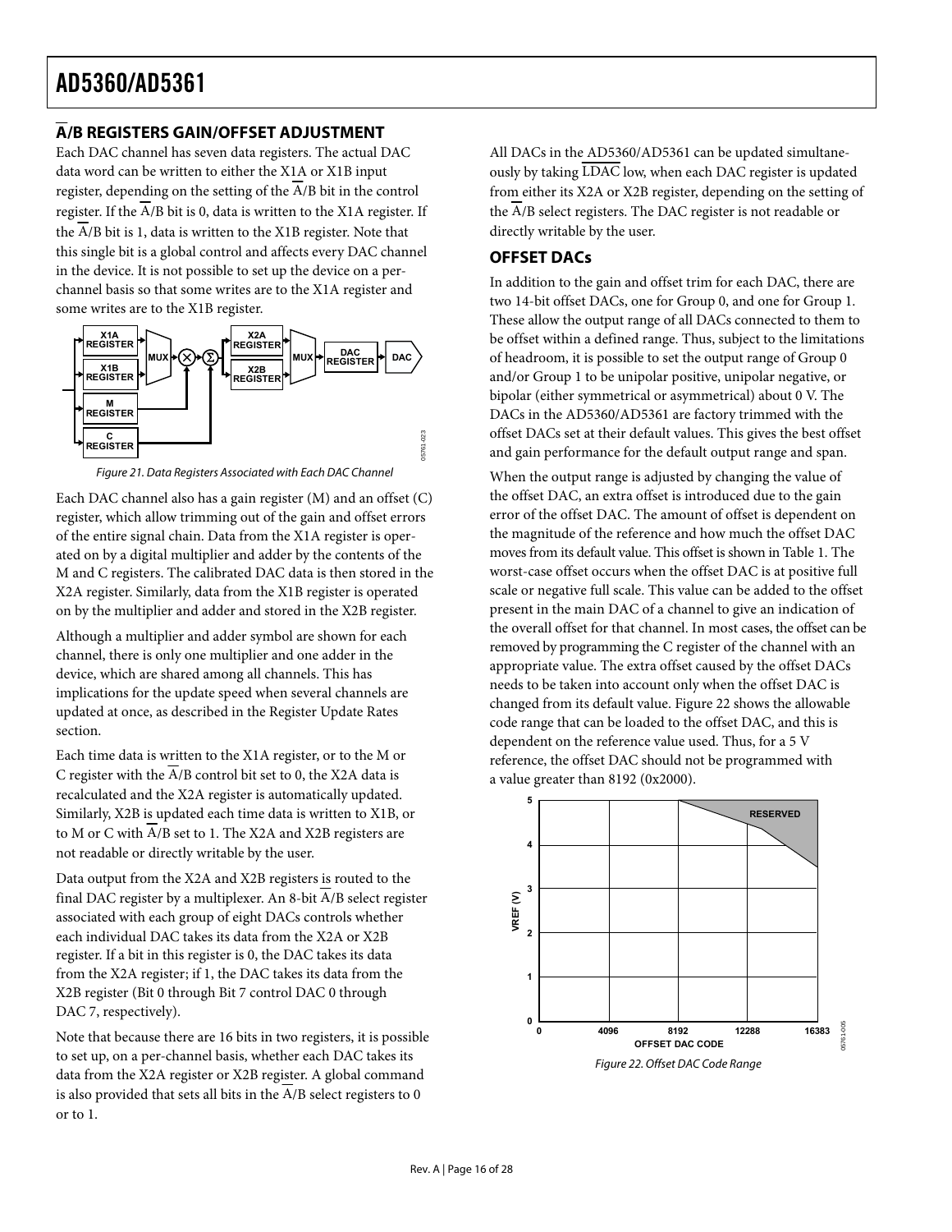### <span id="page-15-0"></span>**A/B REGISTERS GAIN/OFFSET ADJUSTMENT**

Each DAC channel has seven data registers. The actual DAC data word can be written to either the X1A or X1B input register, depending on the setting of the  $\overline{A}/B$  bit in the control register. If the A/B bit is 0, data is written to the X1A register. If the  $\overline{A/B}$  bit is 1, data is written to the X1B register. Note that this single bit is a global control and affects every DAC channel in the device. It is not possible to set up the device on a perchannel basis so that some writes are to the X1A register and some writes are to the X1B register.



Figure 21. Data Registers Associated with Each DAC Channel

Each DAC channel also has a gain register (M) and an offset (C) register, which allow trimming out of the gain and offset errors of the entire signal chain. Data from the X1A register is operated on by a digital multiplier and adder by the contents of the M and C registers. The calibrated DAC data is then stored in the X2A register. Similarly, data from the X1B register is operated on by the multiplier and adder and stored in the X2B register.

Although a multiplier and adder symbol are shown for each channel, there is only one multiplier and one adder in the device, which are shared among all channels. This has implications for the update speed when several channels are updated at once, as described in the [Register Update Rates](#page-21-2) section.

Each time data is written to the X1A register, or to the M or C register with the A/B control bit set to 0, the X2A data is recalculated and the X2A register is automatically updated. Similarly, X2B is updated each time data is written to X1B, or to M or C with A/B set to 1. The X2A and X2B registers are not readable or directly writable by the user.

Data output from the X2A and X2B registers is routed to the final DAC register by a multiplexer. An 8-bit A/B select register associated with each group of eight DACs controls whether each individual DAC takes its data from the X2A or X2B register. If a bit in this register is 0, the DAC takes its data from the X2A register; if 1, the DAC takes its data from the X2B register (Bit 0 through Bit 7 control DAC 0 through DAC 7, respectively).

<span id="page-15-1"></span>Note that because there are 16 bits in two registers, it is possible to set up, on a per-channel basis, whether each DAC takes its data from the X2A register or X2B register. A global command is also provided that sets all bits in the  $\overline{A}/B$  select registers to 0 or to 1.

All DACs in the AD5360/AD5361 can be updated simultaneously by taking LDAC low, when each DAC register is updated from either its X2A or X2B register, depending on the setting of the A/B select registers. The DAC register is not readable or directly writable by the user.

### **OFFSET DACs**

In addition to the gain and offset trim for each DAC, there are two 14-bit offset DACs, one for Group 0, and one for Group 1. These allow the output range of all DACs connected to them to be offset within a defined range. Thus, subject to the limitations of headroom, it is possible to set the output range of Group 0 and/or Group 1 to be unipolar positive, unipolar negative, or bipolar (either symmetrical or asymmetrical) about 0 V. The DACs in the AD5360/AD5361 are factory trimmed with the offset DACs set at their default values. This gives the best offset and gain performance for the default output range and span.

When the output range is adjusted by changing the value of the offset DAC, an extra offset is introduced due to the gain error of the offset DAC. The amount of offset is dependent on the magnitude of the reference and how much the offset DAC moves from its default value. This offset is shown in [Table 1. T](#page-3-1)he worst-case offset occurs when the offset DAC is at positive full scale or negative full scale. This value can be added to the offset present in the main DAC of a channel to give an indication of the overall offset for that channel. In most cases, the offset can be removed by programming the C register of the channel with an appropriate value. The extra offset caused by the offset DACs needs to be taken into account only when the offset DAC is changed from its default value. [Figure 22](#page-15-1) shows the allowable code range that can be loaded to the offset DAC, and this is dependent on the reference value used. Thus, for a 5 V reference, the offset DAC should not be programmed with a value greater than 8192 (0x2000).

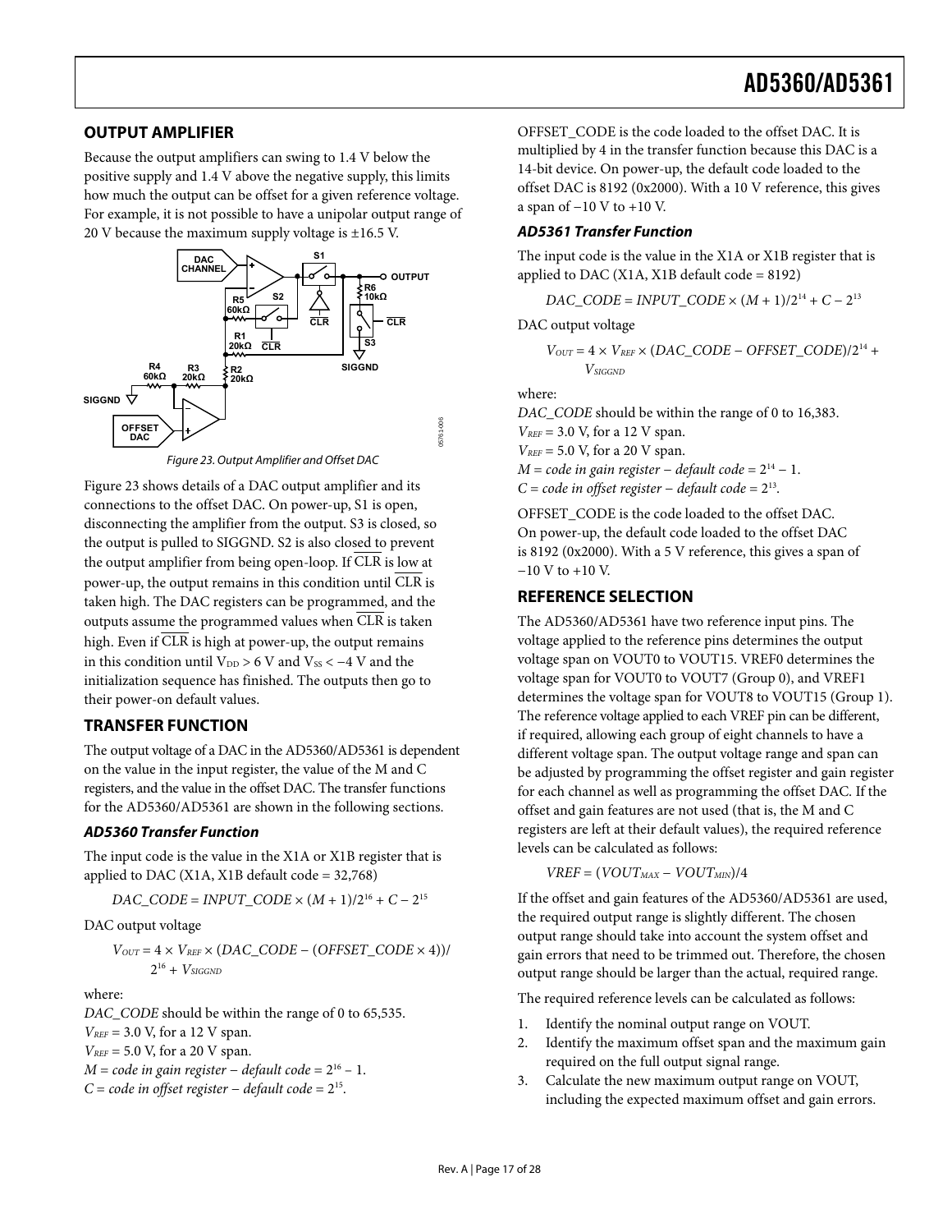### <span id="page-16-0"></span>**OUTPUT AMPLIFIER**

Because the output amplifiers can swing to 1.4 V below the positive supply and 1.4 V above the negative supply, this limits how much the output can be offset for a given reference voltage. For example, it is not possible to have a unipolar output range of 20 V because the maximum supply voltage is  $\pm 16.5$  V.



Figure 23. Output Amplifier and Offset DAC

Figure 23 shows details of a DAC output amplifier and its connections to the offset DAC. On power-up, S1 is open, disconnecting the amplifier from the output. S3 is closed, so the output is pulled to SIGGND. S2 is also closed to prevent the output amplifier from being open-loop. If CLR is low at power-up, the output remains in this condition until  $\overline{\text{CLR}}$  is taken high. The DAC registers can be programmed, and the outputs assume the programmed values when CLR is taken high. Even if CLR is high at power-up, the output remains in this condition until  $V_{DD} > 6$  V and  $V_{SS} < -4$  V and the initialization sequence has finished. The outputs then go to their power-on default values.

### **TRANSFER FUNCTION**

The output voltage of a DAC in the AD5360/AD5361 is dependent on the value in the input register, the value of the M and C registers, and the value in the offset DAC. The transfer functions for the AD5360/AD5361 are shown in the following sections.

#### **AD5360 Transfer Function**

The input code is the value in the X1A or X1B register that is applied to DAC (X1A, X1B default code  $= 32,768$ )

 $DAC\_CODE = *INPUT\_CODE* ×  $(M + 1)/2^{16} + C - 2^{15}$$ 

DAC output voltage

 $V_{OUT} = 4 \times V_{REF} \times (DAC\_CODE - (OFFSET\_CODE \times 4))/$  $2^{16} + V_{SIGGND}$ 

where:

*DAC\_CODE* should be within the range of 0 to 65,535.

*VREF* = 3.0 V, for a 12 V span.

*V<sub>REF</sub>* = 5.0 *V*, for a 20 *V* span.

*M* = *code in gain register* – *default code* =  $2^{16}$  – 1.

*C* = *code in offset register* − *default code* = 215.

OFFSET\_CODE is the code loaded to the offset DAC. It is multiplied by 4 in the transfer function because this DAC is a 14-bit device. On power-up, the default code loaded to the offset DAC is 8192 (0x2000). With a 10 V reference, this gives a span of −10 V to +10 V.

### **AD5361 Transfer Function**

The input code is the value in the X1A or X1B register that is applied to DAC (X1A, X1B default code = 8192)

*DAC\_CODE* = *INPUT\_CODE* ×  $(M + 1)/2^{14}$  +  $C - 2^{13}$ 

DAC output voltage

$$
V_{OUT}=4\times V_{REF}\times (DAC\_CODE-OFFSET\_CODE)/2^{14}+\\V_{SIGND}
$$

where:

*DAC\_CODE* should be within the range of 0 to 16,383.  $V_{REF}$  = 3.0 V, for a 12 V span.  $V_{REF}$  = 5.0 V, for a 20 V span. *M* = *code in gain register* – *default code* =  $2^{14}$  – 1. *C* = *code in offset register* − *default code* = 213.

OFFSET\_CODE is the code loaded to the offset DAC. On power-up, the default code loaded to the offset DAC is 8192 (0x2000). With a 5 V reference, this gives a span of −10 V to +10 V.

### **REFERENCE SELECTION**

The AD5360/AD5361 have two reference input pins. The voltage applied to the reference pins determines the output voltage span on VOUT0 to VOUT15. VREF0 determines the voltage span for VOUT0 to VOUT7 (Group 0), and VREF1 determines the voltage span for VOUT8 to VOUT15 (Group 1). The reference voltage applied to each VREF pin can be different, if required, allowing each group of eight channels to have a different voltage span. The output voltage range and span can be adjusted by programming the offset register and gain register for each channel as well as programming the offset DAC. If the offset and gain features are not used (that is, the M and C registers are left at their default values), the required reference levels can be calculated as follows:

 $VREF = (VOUT_{MAX} - VOUT_{MIN})/4$ 

If the offset and gain features of the AD5360/AD5361 are used, the required output range is slightly different. The chosen output range should take into account the system offset and gain errors that need to be trimmed out. Therefore, the chosen output range should be larger than the actual, required range.

The required reference levels can be calculated as follows:

- 1. Identify the nominal output range on VOUT.
- 2. Identify the maximum offset span and the maximum gain required on the full output signal range.
- 3. Calculate the new maximum output range on VOUT, including the expected maximum offset and gain errors.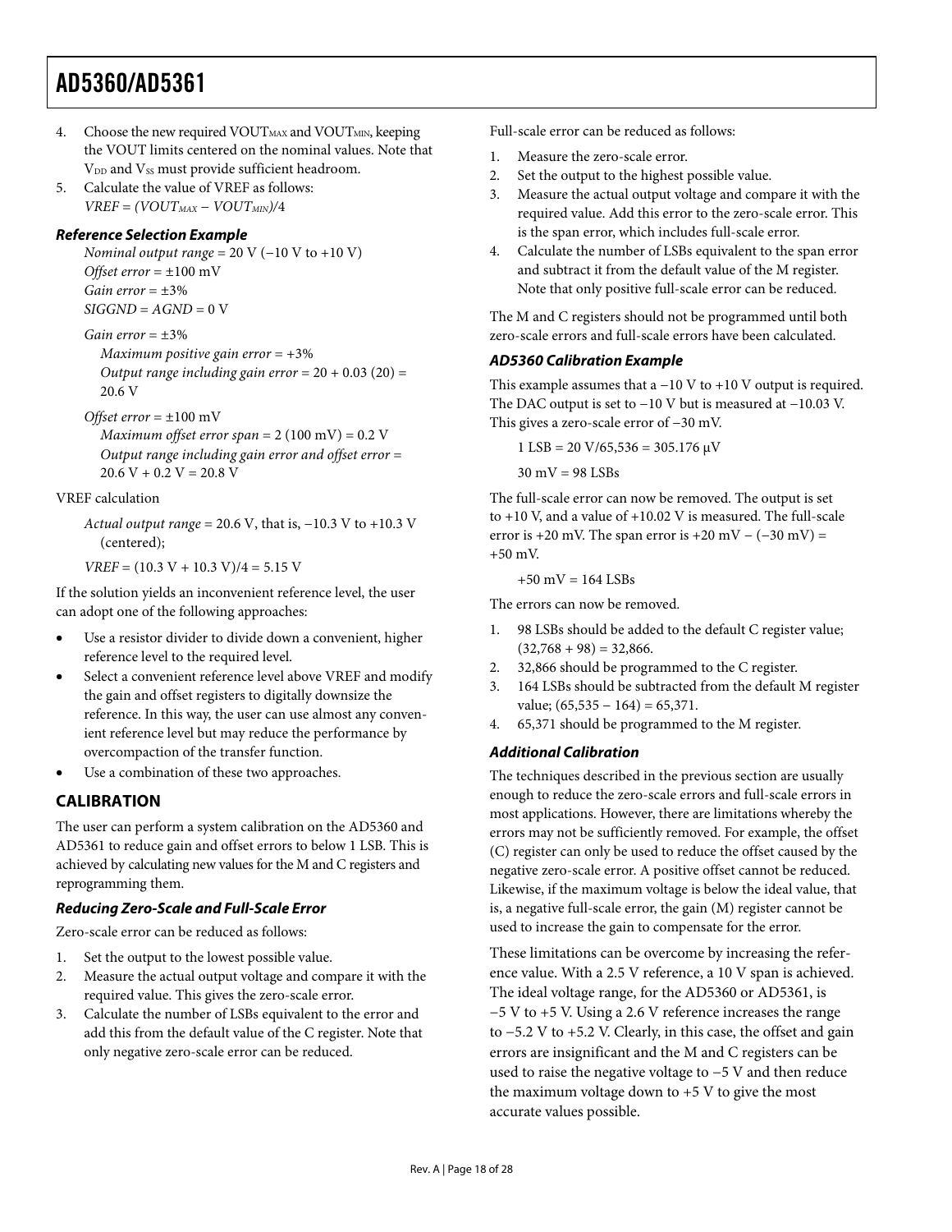- <span id="page-17-0"></span>4. Choose the new required VOUT $_{MAX}$  and VOUT $_{MIN}$ , keeping the VOUT limits centered on the nominal values. Note that  $V_{DD}$  and  $V_{SS}$  must provide sufficient headroom.
- 5. Calculate the value of VREF as follows:  $VREF = (VOUT_{MAX} - VOUT_{MIN})/4$

### **Reference Selection Example**

*Nominal output range* = 20 V (−10 V to +10 V) *Offset error* = ±100 mV *Gain error* = ±3%  $SIGGND = AGND = 0$  V

### *Gain error* = ±3%

*Maximum positive gain error* = +3% *Output range including gain error*  $= 20 + 0.03$  (20)  $=$ 20.6 V

### *Offset error* = ±100 mV

*Maximum offset error span* = 2 (100 mV) = 0.2 V *Output range including gain error and offset error* =  $20.6 V + 0.2 V = 20.8 V$ 

### VREF calculation

*Actual output range* = 20.6 V, that is, −10.3 V to +10.3 V (centered);

 $VREF = (10.3 V + 10.3 V)/4 = 5.15 V$ 

If the solution yields an inconvenient reference level, the user can adopt one of the following approaches:

- Use a resistor divider to divide down a convenient, higher reference level to the required level.
- Select a convenient reference level above VREF and modify the gain and offset registers to digitally downsize the reference. In this way, the user can use almost any convenient reference level but may reduce the performance by overcompaction of the transfer function.
- Use a combination of these two approaches.

### **CALIBRATION**

The user can perform a system calibration on the AD5360 and AD5361 to reduce gain and offset errors to below 1 LSB. This is achieved by calculating new values for the M and C registers and reprogramming them.

### **Reducing Zero-Scale and Full-Scale Error**

Zero-scale error can be reduced as follows:

- 1. Set the output to the lowest possible value.
- 2. Measure the actual output voltage and compare it with the required value. This gives the zero-scale error.
- 3. Calculate the number of LSBs equivalent to the error and add this from the default value of the C register. Note that only negative zero-scale error can be reduced.

Full-scale error can be reduced as follows:

- 1. Measure the zero-scale error.
- 2. Set the output to the highest possible value.
- 3. Measure the actual output voltage and compare it with the required value. Add this error to the zero-scale error. This is the span error, which includes full-scale error.
- 4. Calculate the number of LSBs equivalent to the span error and subtract it from the default value of the M register. Note that only positive full-scale error can be reduced.

The M and C registers should not be programmed until both zero-scale errors and full-scale errors have been calculated.

### **AD5360 Calibration Example**

This example assumes that a −10 V to +10 V output is required. The DAC output is set to −10 V but is measured at −10.03 V. This gives a zero-scale error of −30 mV.

 $1$  LSB = 20 V/65,536 = 305.176  $\mu$ V

 $30 \text{ mV} = 98 \text{ LSBs}$ 

The full-scale error can now be removed. The output is set to +10 V, and a value of +10.02 V is measured. The full-scale error is +20 mV. The span error is +20 mV –  $(-30 \text{ mV})$  = +50 mV.

 $+50$  mV = 164 LSBs

The errors can now be removed.

- 1. 98 LSBs should be added to the default C register value;  $(32,768 + 98) = 32,866.$
- 2. 32,866 should be programmed to the C register.
- 3. 164 LSBs should be subtracted from the default M register value;  $(65,535 - 164) = 65,371$ .
- 4. 65,371 should be programmed to the M register.

### **Additional Calibration**

The techniques described in the previous section are usually enough to reduce the zero-scale errors and full-scale errors in most applications. However, there are limitations whereby the errors may not be sufficiently removed. For example, the offset (C) register can only be used to reduce the offset caused by the negative zero-scale error. A positive offset cannot be reduced. Likewise, if the maximum voltage is below the ideal value, that is, a negative full-scale error, the gain (M) register cannot be used to increase the gain to compensate for the error.

These limitations can be overcome by increasing the reference value. With a 2.5 V reference, a 10 V span is achieved. The ideal voltage range, for the AD5360 or AD5361, is −5 V to +5 V. Using a 2.6 V reference increases the range to −5.2 V to +5.2 V. Clearly, in this case, the offset and gain errors are insignificant and the M and C registers can be used to raise the negative voltage to −5 V and then reduce the maximum voltage down to +5 V to give the most accurate values possible.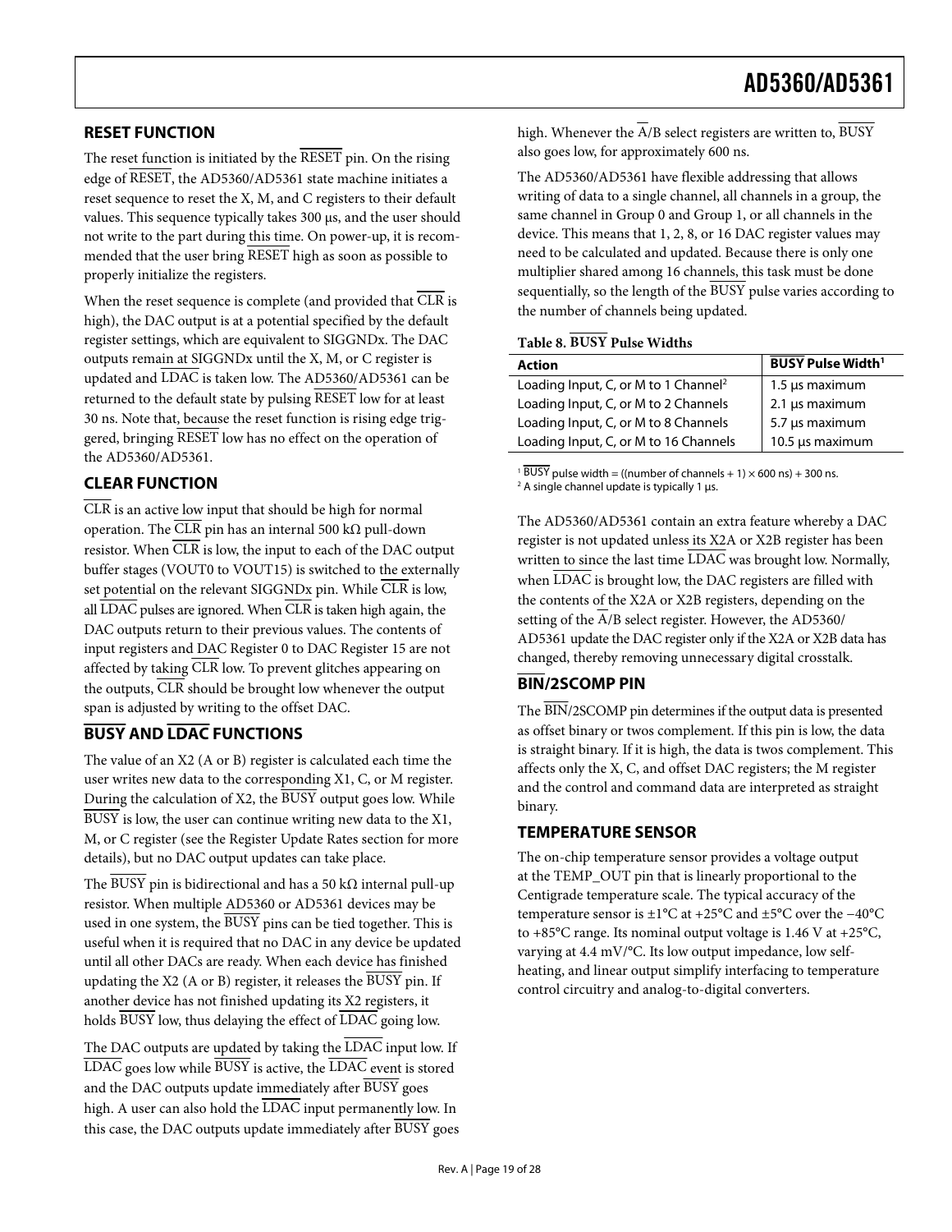### <span id="page-18-1"></span><span id="page-18-0"></span>**RESET FUNCTION**

The reset function is initiated by the  $\overline{\text{RESET}}$  pin. On the rising edge of RESET, the AD5360/AD5361 state machine initiates a reset sequence to reset the X, M, and C registers to their default values. This sequence typically takes 300 μs, and the user should not write to the part during this time. On power-up, it is recommended that the user bring RESET high as soon as possible to properly initialize the registers.

<span id="page-18-2"></span>When the reset sequence is complete (and provided that  $\overline{\text{CLR}}$  is high), the DAC output is at a potential specified by the default register settings, which are equivalent to SIGGNDx. The DAC outputs remain at SIGGNDx until the X, M, or C register is updated and LDAC is taken low. The AD5360/AD5361 can be returned to the default state by pulsing RESET low for at least 30 ns. Note that, because the reset function is rising edge triggered, bringing RESET low has no effect on the operation of the AD5360/AD5361.

### **CLEAR FUNCTION**

CLR is an active low input that should be high for normal operation. The CLR pin has an internal 500 kΩ pull-down resistor. When CLR is low, the input to each of the DAC output buffer stages (VOUT0 to VOUT15) is switched to the externally set potential on the relevant SIGGNDx pin. While  $\overline{\text{CLR}}$  is low, all  $\overline{\text{LDAC}}$  pulses are ignored. When  $\overline{\text{CLR}}$  is taken high again, the DAC outputs return to their previous values. The contents of input registers and DAC Register 0 to DAC Register 15 are not affected by taking  $\overline{\text{CLR}}$  low. To prevent glitches appearing on the outputs,  $\overline{\text{CLR}}$  should be brought low whenever the output span is adjusted by writing to the offset DAC.

### **BUSY AND LDAC FUNCTIONS**

The value of an X2 (A or B) register is calculated each time the user writes new data to the corresponding X1, C, or M register. During the calculation of  $X2$ , the  $\overline{BUSY}$  output goes low. While BUSY is low, the user can continue writing new data to the X1, M, or C register (see the [Register Update Rates](#page-21-2) section for more details), but no DAC output updates can take place.

The BUSY pin is bidirectional and has a 50 kΩ internal pull-up resistor. When multiple AD5360 or AD5361 devices may be used in one system, the BUSY pins can be tied together. This is useful when it is required that no DAC in any device be updated until all other DACs are ready. When each device has finished updating the X2 (A or B) register, it releases the BUSY pin. If another device has not finished updating its X2 registers, it holds BUSY low, thus delaying the effect of LDAC going low.

The DAC outputs are updated by taking the  $\overline{\text{LDAC}}$  input low. If LDAC goes low while BUSY is active, the LDAC event is stored and the DAC outputs update immediately after BUSY goes high. A user can also hold the  $\overline{\text{LDAC}}$  input permanently low. In this case, the DAC outputs update immediately after BUSY goes high. Whenever the  $\overline{A/B}$  select registers are written to,  $\overline{BUSY}$ also goes low, for approximately 600 ns.

The AD5360/AD5361 have flexible addressing that allows writing of data to a single channel, all channels in a group, the same channel in Group 0 and Group 1, or all channels in the device. This means that 1, 2, 8, or 16 DAC register values may need to be calculated and updated. Because there is only one multiplier shared among 16 channels, this task must be done sequentially, so the length of the BUSY pulse varies according to the number of channels being updated.

### **Table 8. BUSY Pulse Widths**

| Action                                           | <b>BUSY Pulse Width<sup>1</sup></b> |
|--------------------------------------------------|-------------------------------------|
| Loading Input, C, or M to 1 Channel <sup>2</sup> | 1.5 µs maximum                      |
| Loading Input, C, or M to 2 Channels             | $2.1 \,\mu s$ maximum               |
| Loading Input, C, or M to 8 Channels             | 5.7 µs maximum                      |
| Loading Input, C, or M to 16 Channels            | 10.5 µs maximum                     |

<sup>1</sup> BUSY pulse width = ((number of channels + 1)  $\times$  600 ns) + 300 ns.  $2$  A single channel update is typically 1 μs.

The AD5360/AD5361 contain an extra feature whereby a DAC register is not updated unless its X2A or X2B register has been written to since the last time LDAC was brought low. Normally, when LDAC is brought low, the DAC registers are filled with the contents of the X2A or X2B registers, depending on the setting of the  $\overline{A/B}$  select register. However, the AD5360/ AD5361 update the DAC register only if the X2A or X2B data has changed, thereby removing unnecessary digital crosstalk.

### **BIN/2SCOMP PIN**

The BIN/2SCOMP pin determines if the output data is presented as offset binary or twos complement. If this pin is low, the data is straight binary. If it is high, the data is twos complement. This affects only the X, C, and offset DAC registers; the M register and the control and command data are interpreted as straight binary.

### **TEMPERATURE SENSOR**

The on-chip temperature sensor provides a voltage output at the TEMP\_OUT pin that is linearly proportional to the Centigrade temperature scale. The typical accuracy of the temperature sensor is ±1°C at +25°C and ±5°C over the −40°C to +85°C range. Its nominal output voltage is 1.46 V at +25°C, varying at 4.4 mV/°C. Its low output impedance, low selfheating, and linear output simplify interfacing to temperature control circuitry and analog-to-digital converters.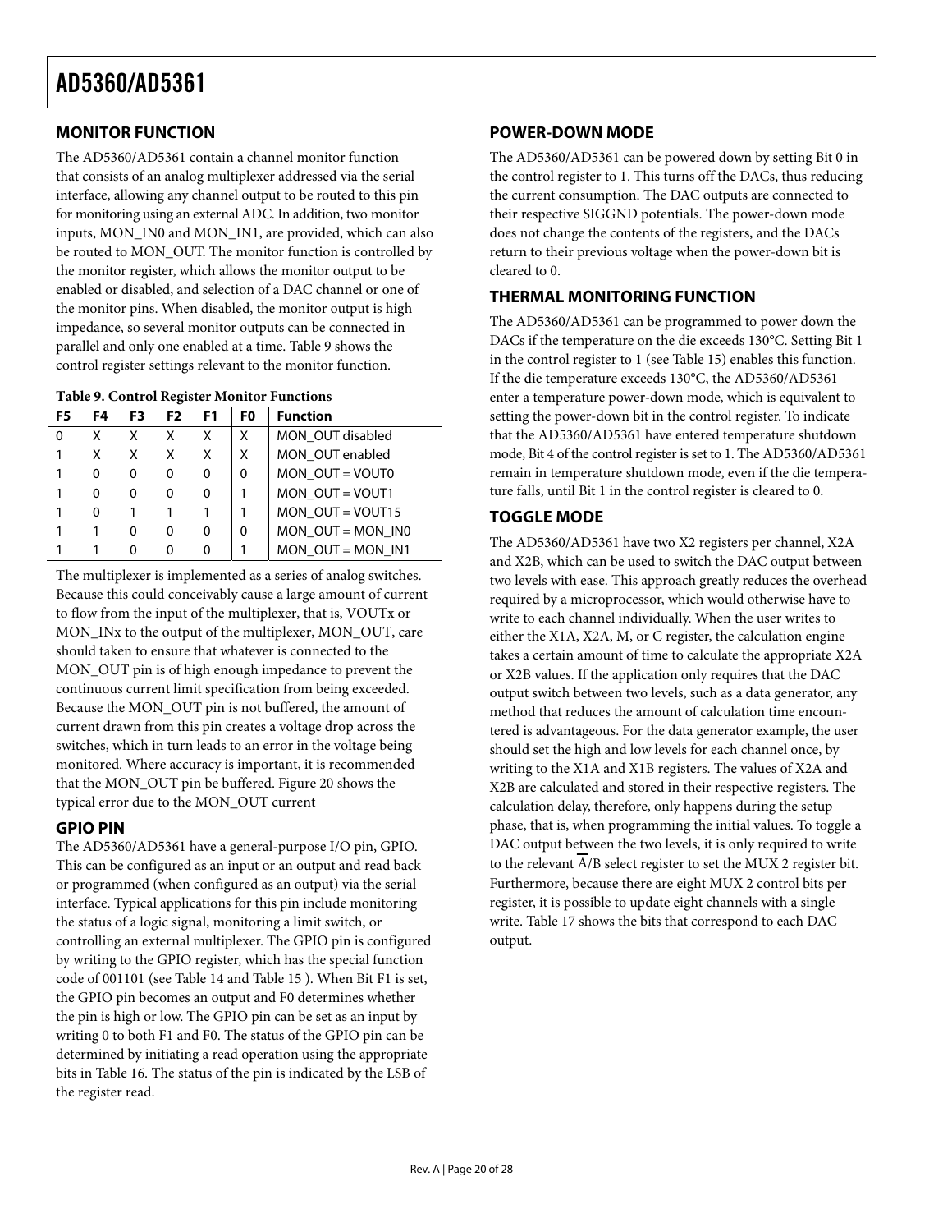### <span id="page-19-1"></span><span id="page-19-0"></span>**MONITOR FUNCTION**

The AD5360/AD5361 contain a channel monitor function that consists of an analog multiplexer addressed via the serial interface, allowing any channel output to be routed to this pin for monitoring using an external ADC. In addition, two monitor inputs, MON\_IN0 and MON\_IN1, are provided, which can also be routed to MON\_OUT. The monitor function is controlled by the monitor register, which allows the monitor output to be enabled or disabled, and selection of a DAC channel or one of the monitor pins. When disabled, the monitor output is high impedance, so several monitor outputs can be connected in parallel and only one enabled at a time. Table 9 shows the control register settings relevant to the monitor function.

| F5 | F4 | F3 | F <sub>2</sub> | F <sub>1</sub> | F <sub>0</sub> | <b>Function</b>     |
|----|----|----|----------------|----------------|----------------|---------------------|
| 0  | Χ  | Χ  | x              | x              | X              | MON OUT disabled    |
|    | X  | X  | X              | x              | $\mathsf{x}$   | MON OUT enabled     |
|    | 0  | 0  | $\Omega$       | 0              | $\Omega$       | MON $OUT = VOUT0$   |
|    | 0  | 0  | O              | 0              |                | MON $OUT = VOUT1$   |
|    | 0  |    |                |                |                | MON $OUT = VOUT15$  |
|    |    | 0  | O              | 0              | $\Omega$       | MON $OUT = MON$ INO |
|    |    | 0  |                | 0              |                | MON OUT = MON $IN1$ |

The multiplexer is implemented as a series of analog switches. Because this could conceivably cause a large amount of current to flow from the input of the multiplexer, that is, VOUTx or MON\_INx to the output of the multiplexer, MON\_OUT, care should taken to ensure that whatever is connected to the MON\_OUT pin is of high enough impedance to prevent the continuous current limit specification from being exceeded. Because the MON\_OUT pin is not buffered, the amount of current drawn from this pin creates a voltage drop across the switches, which in turn leads to an error in the voltage being monitored. Where accuracy is important, it is recommended that the MON\_OUT pin be buffered. [Figure 20](#page-12-0) shows the typical error due to the MON\_OUT current

### **GPIO PIN**

The AD5360/AD5361 have a general-purpose I/O pin, GPIO. This can be configured as an input or an output and read back or programmed (when configured as an output) via the serial interface. Typical applications for this pin include monitoring the status of a logic signal, monitoring a limit switch, or controlling an external multiplexer. The GPIO pin is configured by writing to the GPIO register, which has the special function code of 001101 (see [Table 14 a](#page-23-2)nd [Table 15](#page-23-1) ). When Bit F1 is set, the GPIO pin becomes an output and F0 determines whether the pin is high or low. The GPIO pin can be set as an input by writing 0 to both F1 and F0. The status of the GPIO pin can be determined by initiating a read operation using the appropriate bits in [Table 16. T](#page-24-0)he status of the pin is indicated by the LSB of the register read.

### **POWER-DOWN MODE**

The AD5360/AD5361 can be powered down by setting Bit 0 in the control register to 1. This turns off the DACs, thus reducing the current consumption. The DAC outputs are connected to their respective SIGGND potentials. The power-down mode does not change the contents of the registers, and the DACs return to their previous voltage when the power-down bit is cleared to 0.

### **THERMAL MONITORING FUNCTION**

The AD5360/AD5361 can be programmed to power down the DACs if the temperature on the die exceeds 130°C. Setting Bit 1 in the control register to 1 (see [Table 15](#page-23-1)) enables this function. If the die temperature exceeds 130°C, the AD5360/AD5361 enter a temperature power-down mode, which is equivalent to setting the power-down bit in the control register. To indicate that the AD5360/AD5361 have entered temperature shutdown mode, Bit 4 of the control register is set to 1. The AD5360/AD5361 remain in temperature shutdown mode, even if the die temperature falls, until Bit 1 in the control register is cleared to 0.

### **TOGGLE MODE**

The AD5360/AD5361 have two X2 registers per channel, X2A and X2B, which can be used to switch the DAC output between two levels with ease. This approach greatly reduces the overhead required by a microprocessor, which would otherwise have to write to each channel individually. When the user writes to either the X1A, X2A, M, or C register, the calculation engine takes a certain amount of time to calculate the appropriate X2A or X2B values. If the application only requires that the DAC output switch between two levels, such as a data generator, any method that reduces the amount of calculation time encountered is advantageous. For the data generator example, the user should set the high and low levels for each channel once, by writing to the X1A and X1B registers. The values of X2A and X2B are calculated and stored in their respective registers. The calculation delay, therefore, only happens during the setup phase, that is, when programming the initial values. To toggle a DAC output between the two levels, it is only required to write to the relevant A/B select register to set the MUX 2 register bit. Furthermore, because there are eight MUX 2 control bits per register, it is possible to update eight channels with a single write. Table 17 shows the bits that correspond to each DAC output.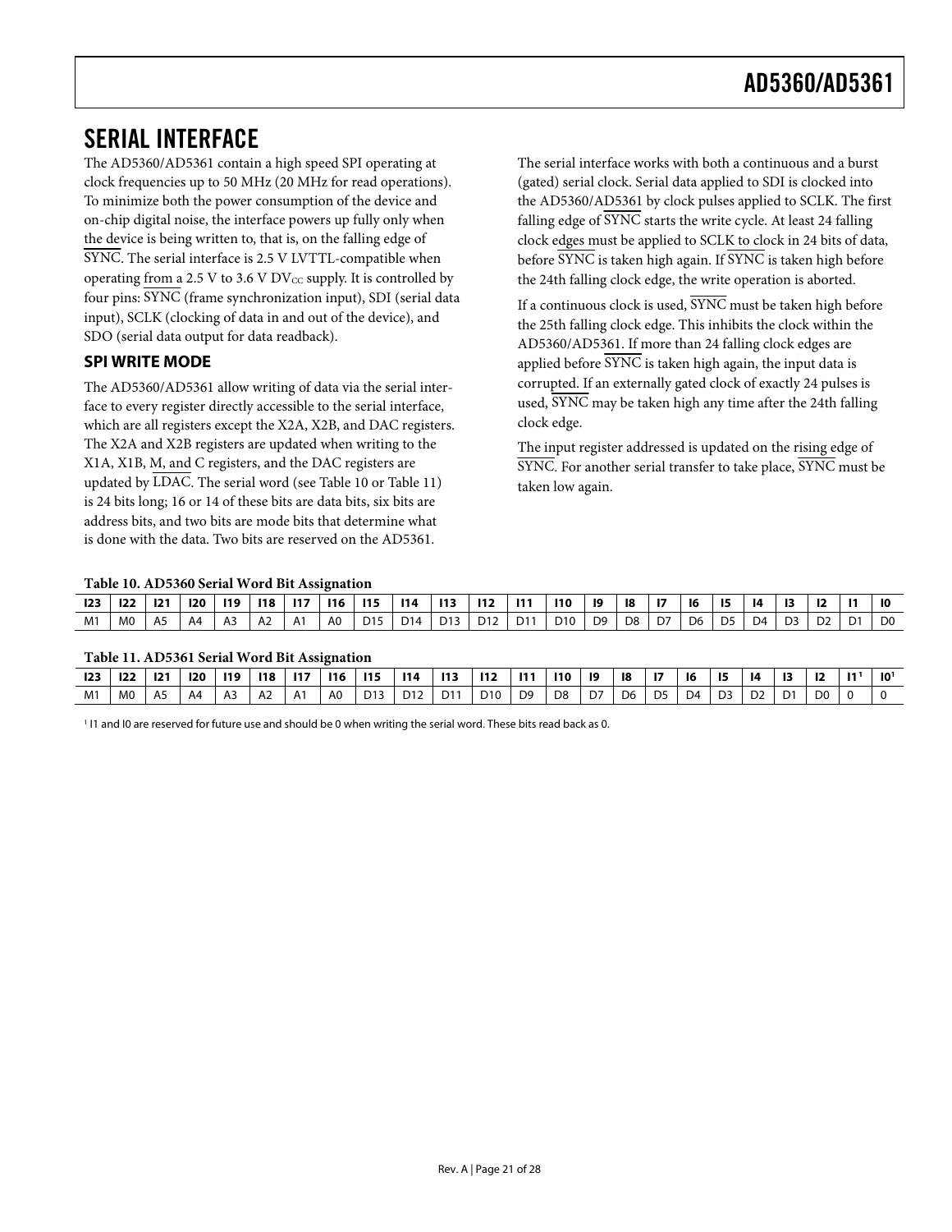### <span id="page-20-2"></span><span id="page-20-1"></span><span id="page-20-0"></span>SERIAL INTERFACE

The AD5360/AD5361 contain a high speed SPI operating at clock frequencies up to 50 MHz (20 MHz for read operations). To minimize both the power consumption of the device and on-chip digital noise, the interface powers up fully only when the device is being written to, that is, on the falling edge of SYNC. The serial interface is 2.5 V LVTTL-compatible when operating from a 2.5 V to 3.6 V  $DV_{CC}$  supply. It is controlled by four pins: SYNC (frame synchronization input), SDI (serial data input), SCLK (clocking of data in and out of the device), and SDO (serial data output for data readback).

### **SPI WRITE MODE**

The AD5360/AD5361 allow writing of data via the serial interface to every register directly accessible to the serial interface, which are all registers except the X2A, X2B, and DAC registers. The X2A and X2B registers are updated when writing to the X1A, X1B, M, and C registers, and the DAC registers are updatedby LDAC. The serial word (see Table 10 or Table 11) is 24 bits long; 16 or 14 of these bits are data bits, six bits are address bits, and two bits are mode bits that determine what is done with the data. Two bits are reserved on the AD5361.

The serial interface works with both a continuous and a burst (gated) serial clock. Serial data applied to SDI is clocked into the AD5360/AD5361 by clock pulses applied to SCLK. The first falling edge of SYNC starts the write cycle. At least 24 falling clock edges must be applied to SCLK to clock in 24 bits of data, before SYNC is taken high again. If SYNC is taken high before the 24th falling clock edge, the write operation is aborted.

If a continuous clock is used, SYNC must be taken high before the 25th falling clock edge. This inhibits the clock within the AD5360/AD5361. If more than 24 falling clock edges are applied before SYNC is taken high again, the input data is corrupted. If an externally gated clock of exactly 24 pulses is used, SYNC may be taken high any time after the 24th falling clock edge.

The input register addressed is updated on the rising edge of SYNC. For another serial transfer to take place, SYNC must be taken low again.

### **Table 10. AD5360 Serial Word Bit Assignation**

<span id="page-20-3"></span>

| 123 | 122            | 121 | 120            | 119            | 118            | 117            | <b>116</b>     | 115             | 114             | 113 | 112             | 111             | 110             | 19             | -18 | 17 | -16 | 15 | 14 | -13            | 12             | $\overline{11}$ | I0             |
|-----|----------------|-----|----------------|----------------|----------------|----------------|----------------|-----------------|-----------------|-----|-----------------|-----------------|-----------------|----------------|-----|----|-----|----|----|----------------|----------------|-----------------|----------------|
| M1  | M <sub>0</sub> | A5  | A <sup>4</sup> | A <sub>3</sub> | A <sub>2</sub> | A <sub>1</sub> | A <sub>0</sub> | D <sub>15</sub> | D <sub>14</sub> | D13 | D <sub>12</sub> | D <sub>11</sub> | D <sub>10</sub> | D <sub>9</sub> | D8  | D7 | D6  | D5 | D4 | D <sub>3</sub> | D <sub>2</sub> | D.              | D <sub>0</sub> |

#### **Table 11. AD5361 Serial Word Bit Assignation**

<span id="page-20-5"></span><span id="page-20-4"></span>

|                |                |                |                |                |                |                | ------------   |                 |                 |                 |                 |                |                |    |                |                |    |                |                |                |                          |                 |
|----------------|----------------|----------------|----------------|----------------|----------------|----------------|----------------|-----------------|-----------------|-----------------|-----------------|----------------|----------------|----|----------------|----------------|----|----------------|----------------|----------------|--------------------------|-----------------|
| 123            | 122            | 121            | 120            | <b>119</b>     | 118            | 117            | <b>116</b>     | <b>115</b>      | 114             | 113             | -112            | 111            | 110            | 19 | -18            | -17            | 16 | - 15           | 14             | 13             | $\overline{\phantom{a}}$ | 10 <sup>1</sup> |
| M <sub>1</sub> | M <sub>0</sub> | A <sub>5</sub> | A <sub>4</sub> | A <sub>3</sub> | A <sub>2</sub> | A <sub>1</sub> | A <sub>0</sub> | D <sub>13</sub> | D <sub>12</sub> | D <sub>11</sub> | D <sub>10</sub> | D <sub>9</sub> | D <sub>8</sub> | D7 | D <sub>6</sub> | D <sub>5</sub> | D4 | D <sub>3</sub> | D <sub>2</sub> | D <sub>1</sub> | D <sub>0</sub>           |                 |

<sup>1</sup> I1 and I0 are reserved for future use and should be 0 when writing the serial word. These bits read back as 0.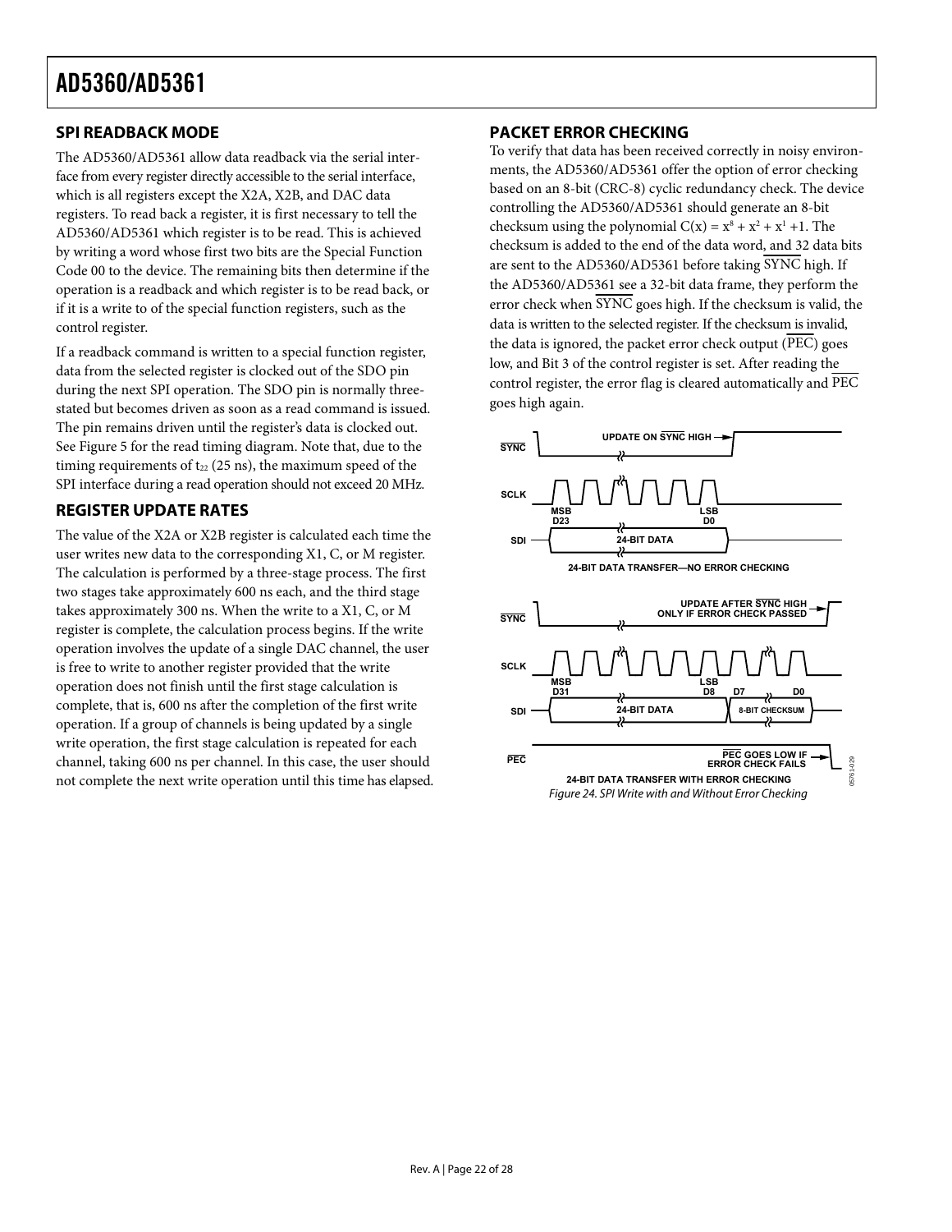### <span id="page-21-1"></span><span id="page-21-0"></span>**SPI READBACK MODE**

The AD5360/AD5361 allow data readback via the serial interface from every register directly accessible to the serial interface, which is all registers except the X2A, X2B, and DAC data registers. To read back a register, it is first necessary to tell the AD5360/AD5361 which register is to be read. This is achieved by writing a word whose first two bits are the Special Function Code 00 to the device. The remaining bits then determine if the operation is a readback and which register is to be read back, or if it is a write to of the special function registers, such as the control register.

If a readback command is written to a special function register, data from the selected register is clocked out of the SDO pin during the next SPI operation. The SDO pin is normally threestated but becomes driven as soon as a read command is issued. The pin remains driven until the register's data is clocked out. See [Figure 5](#page-7-0) for the read timing diagram. Note that, due to the timing requirements of  $t_{22}$  (25 ns), the maximum speed of the SPI interface during a read operation should not exceed 20 MHz.

### <span id="page-21-2"></span>**REGISTER UPDATE RATES**

The value of the X2A or X2B register is calculated each time the user writes new data to the corresponding X1, C, or M register. The calculation is performed by a three-stage process. The first two stages take approximately 600 ns each, and the third stage takes approximately 300 ns. When the write to a X1, C, or M register is complete, the calculation process begins. If the write operation involves the update of a single DAC channel, the user is free to write to another register provided that the write operation does not finish until the first stage calculation is complete, that is, 600 ns after the completion of the first write operation. If a group of channels is being updated by a single write operation, the first stage calculation is repeated for each channel, taking 600 ns per channel. In this case, the user should not complete the next write operation until this time has elapsed.

### **PACKET ERROR CHECKING**

To verify that data has been received correctly in noisy environments, the AD5360/AD5361 offer the option of error checking based on an 8-bit (CRC-8) cyclic redundancy check. The device controlling the AD5360/AD5361 should generate an 8-bit checksum using the polynomial  $C(x) = x^8 + x^2 + x^1 + 1$ . The checksum is added to the end of the data word, and 32 data bits are sent to the AD5360/AD5361 before taking SYNC high. If the AD5360/AD5361 see a 32-bit data frame, they perform the error check when  $\overline{\text{SYNC}}$  goes high. If the checksum is valid, the data is written to the selected register. If the checksum is invalid, the data is ignored, the packet error check output  $(\overline{PEC})$  goes low, and Bit 3 of the control register is set. After reading the control register, the error flag is cleared automatically and PEC goes high again.

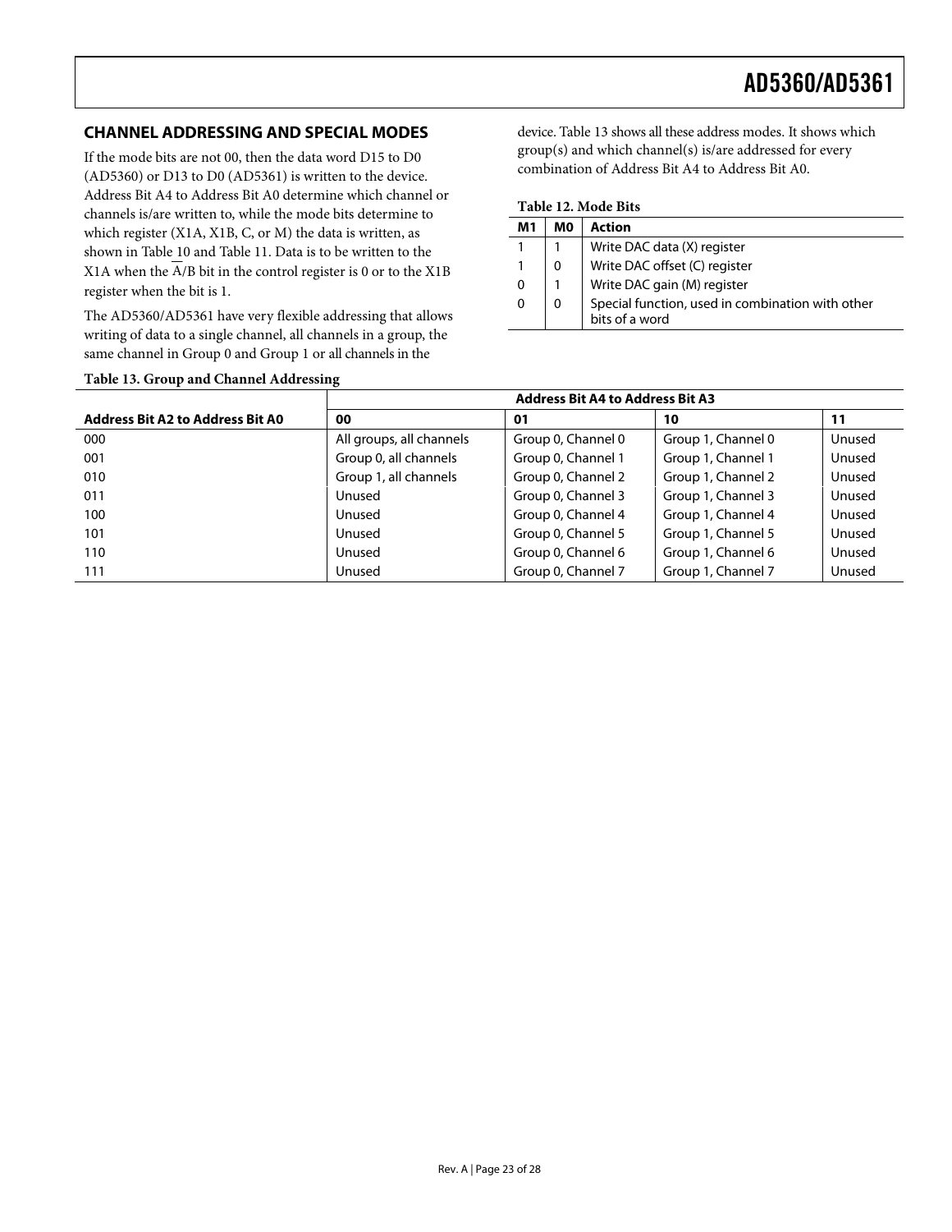### <span id="page-22-0"></span>**CHANNEL ADDRESSING AND SPECIAL MODES**

If the mode bits are not 00, then the data word D15 to D0 (AD5360) or D13 to D0 (AD5361) is written to the device. Address Bit A4 to Address Bit A0 determine which channel or channels is/are written to, while the mode bits determine to which register (X1A, X1B, C, or M) the data is written, as shown in [Table 10](#page-20-3) and [Table 11](#page-20-4). Data is to be written to the X1A when the A/B bit in the control register is 0 or to the X1B register when the bit is 1.

The AD5360/AD5361 have very flexible addressing that allows writing of data to a single channel, all channels in a group, the same channel in Group 0 and Group 1 or all channels in the

device. Table 13 shows all these address modes. It shows which group(s) and which channel(s) is/are addressed for every combination of Address Bit A4 to Address Bit A0.

|  |  | Table 12. Mode Bits |  |
|--|--|---------------------|--|
|--|--|---------------------|--|

| M1 | MО | Action                                                             |
|----|----|--------------------------------------------------------------------|
|    |    | Write DAC data (X) register                                        |
|    | 0  | Write DAC offset (C) register                                      |
| 0  |    | Write DAC gain (M) register                                        |
| 0  | 0  | Special function, used in combination with other<br>bits of a word |

| Table 13. Group and Channel Addressing |  |
|----------------------------------------|--|
|----------------------------------------|--|

|                                         |                          | <b>Address Bit A4 to Address Bit A3</b> |                    |        |
|-----------------------------------------|--------------------------|-----------------------------------------|--------------------|--------|
| <b>Address Bit A2 to Address Bit A0</b> | 00                       | 01                                      | 10                 | 11     |
| 000                                     | All groups, all channels | Group 0, Channel 0                      | Group 1, Channel 0 | Unused |
| 001                                     | Group 0, all channels    | Group 0, Channel 1                      | Group 1, Channel 1 | Unused |
| 010                                     | Group 1, all channels    | Group 0, Channel 2                      | Group 1, Channel 2 | Unused |
| 011                                     | Unused                   | Group 0, Channel 3                      | Group 1, Channel 3 | Unused |
| 100                                     | Unused                   | Group 0, Channel 4                      | Group 1, Channel 4 | Unused |
| 101                                     | Unused                   | Group 0, Channel 5                      | Group 1, Channel 5 | Unused |
| 110                                     | Unused                   | Group 0, Channel 6                      | Group 1, Channel 6 | Unused |
| 111                                     | Unused                   | Group 0, Channel 7                      | Group 1, Channel 7 | Unused |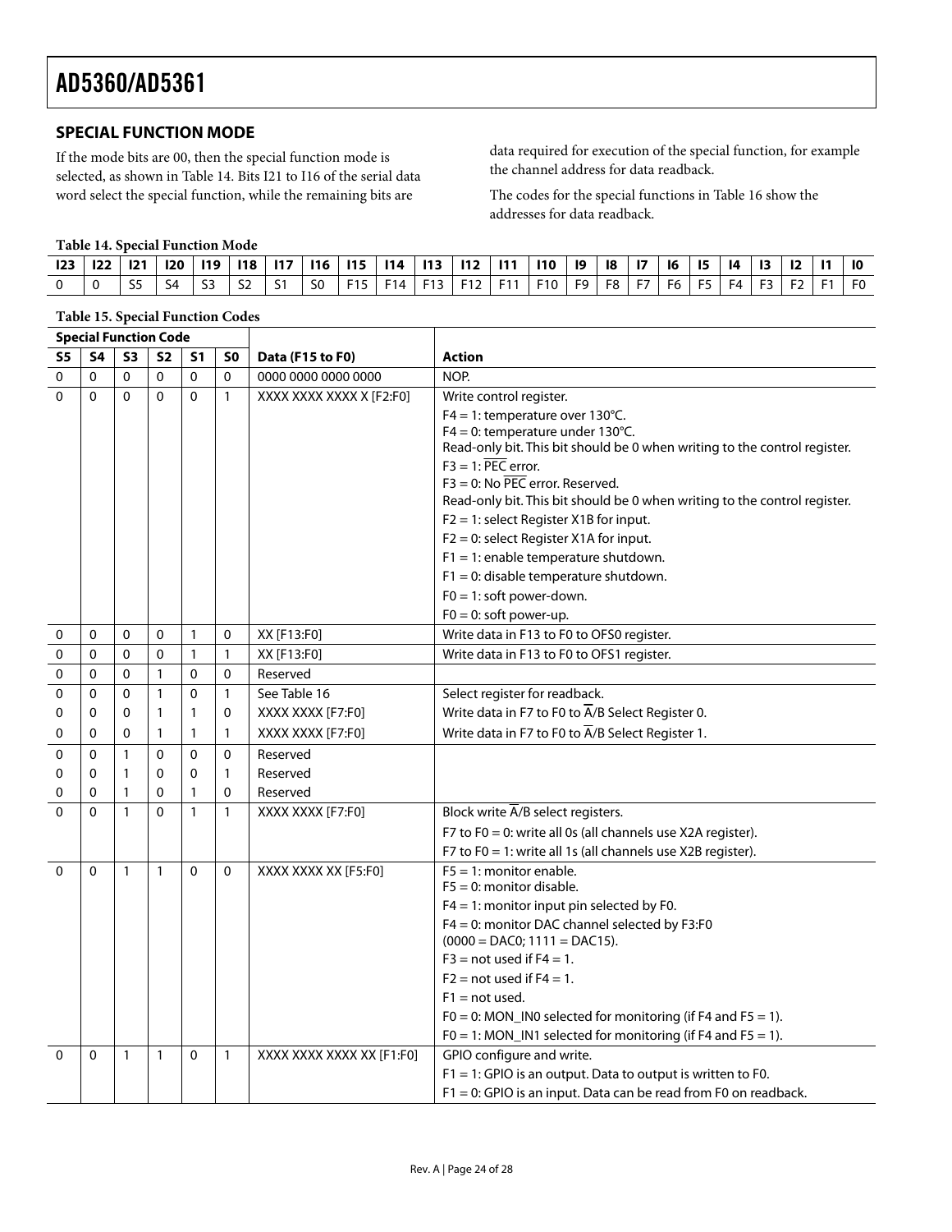### <span id="page-23-2"></span><span id="page-23-0"></span>**SPECIAL FUNCTION MODE**

If the mode bits are 00, then the special function mode is selected, as shown in Table 14. Bits I21 to I16 of the serial data word select the special function, while the remaining bits are

data required for execution of the special function, for example the channel address for data readback.

The codes for the special functions in [Table 16](#page-24-0) show the addresses for data readback.

#### **Table 14. Special Function Mode**

|  |     |                             |                       |  |  | 23   22   121   120   119   118   117   116   115   114   113   112   111   110   19     |  |  | 18   17   16 |  | 15   14   13   12   11 |  |  |
|--|-----|-----------------------------|-----------------------|--|--|------------------------------------------------------------------------------------------|--|--|--------------|--|------------------------|--|--|
|  | 55. | $\overline{\phantom{0}}$ S4 | $\vert$ S2 $\vert$ S1 |  |  | SO   F15   F14   F13   F12   F11   F10   F9   F8   F7   F6   F5   F4   F3   F2   F1   F0 |  |  |              |  |                        |  |  |

<span id="page-23-1"></span>

|                | <b>Table 15. Special Function Codes</b> |              |              |                |                |                           |                                                                                                    |
|----------------|-----------------------------------------|--------------|--------------|----------------|----------------|---------------------------|----------------------------------------------------------------------------------------------------|
|                | <b>Special Function Code</b>            |              |              |                |                |                           |                                                                                                    |
| S <sub>5</sub> | <b>S4</b>                               | <b>S3</b>    | <b>S2</b>    | S <sub>1</sub> | S <sub>0</sub> | Data (F15 to F0)          | <b>Action</b>                                                                                      |
| 0              | $\mathbf{0}$                            | $\Omega$     | $\Omega$     | $\mathbf{0}$   | $\mathbf 0$    | 0000 0000 0000 0000       | NOP.                                                                                               |
| $\Omega$       | $\Omega$                                | $\Omega$     | $\mathbf 0$  | $\mathbf 0$    | $\mathbf{1}$   | XXXX XXXX XXXX X [F2:F0]  | Write control register.                                                                            |
|                |                                         |              |              |                |                |                           | $F4 = 1$ : temperature over 130°C.                                                                 |
|                |                                         |              |              |                |                |                           | F4 = 0: temperature under 130°C.                                                                   |
|                |                                         |              |              |                |                |                           | Read-only bit. This bit should be 0 when writing to the control register.<br>$F3 = 1$ : PEC error. |
|                |                                         |              |              |                |                |                           | $F3 = 0$ : No PEC error. Reserved.                                                                 |
|                |                                         |              |              |                |                |                           | Read-only bit. This bit should be 0 when writing to the control register.                          |
|                |                                         |              |              |                |                |                           | $F2 = 1$ : select Register X1B for input.                                                          |
|                |                                         |              |              |                |                |                           | $F2 = 0$ : select Register X1A for input.                                                          |
|                |                                         |              |              |                |                |                           | $F1 = 1$ : enable temperature shutdown.                                                            |
|                |                                         |              |              |                |                |                           | $F1 = 0$ : disable temperature shutdown.                                                           |
|                |                                         |              |              |                |                |                           | $F0 = 1$ : soft power-down.                                                                        |
|                |                                         |              |              |                |                |                           | $F0 = 0$ : soft power-up.                                                                          |
| 0              | $\mathbf 0$                             | 0            | 0            | 1              | 0              | XX [F13:F0]               | Write data in F13 to F0 to OFS0 register.                                                          |
| 0              | $\Omega$                                | $\mathbf{0}$ | 0            | $\mathbf{1}$   | $\mathbf{1}$   | XX [F13:F0]               | Write data in F13 to F0 to OFS1 register.                                                          |
| 0              | $\mathbf{0}$                            | $\Omega$     | $\mathbf{1}$ | $\Omega$       | 0              | Reserved                  |                                                                                                    |
| 0              | $\mathbf 0$                             | $\Omega$     | $\mathbf{1}$ | 0              | $\mathbf{1}$   | See Table 16              | Select register for readback.                                                                      |
| 0              | 0                                       | 0            | $\mathbf{1}$ | 1              | 0              | XXXX XXXX [F7:F0]         | Write data in F7 to F0 to A/B Select Register 0.                                                   |
| 0              | $\Omega$                                | $\Omega$     | $\mathbf{1}$ | 1              | 1              | XXXX XXXX [F7:F0]         | Write data in F7 to F0 to $\overline{A}/B$ Select Register 1.                                      |
| 0              | $\mathbf{0}$                            | $\mathbf{1}$ | $\mathbf 0$  | $\mathbf{0}$   | $\mathbf 0$    | Reserved                  |                                                                                                    |
| 0              | $\Omega$                                | $\mathbf{1}$ | $\Omega$     | $\Omega$       | $\mathbf{1}$   | Reserved                  |                                                                                                    |
| 0              | 0                                       | $\mathbf{1}$ | 0            | 1              | 0              | Reserved                  |                                                                                                    |
| $\mathbf 0$    | $\Omega$                                | $\mathbf{1}$ | $\Omega$     | $\mathbf{1}$   | $\mathbf{1}$   | XXXX XXXX [F7:F0]         | Block write $\overline{A}/B$ select registers.                                                     |
|                |                                         |              |              |                |                |                           | F7 to F0 = 0: write all 0s (all channels use X2A register).                                        |
|                |                                         |              |              |                |                |                           | F7 to F0 = 1: write all 1s (all channels use X2B register).                                        |
| $\Omega$       | $\mathbf{0}$                            | $\mathbf{1}$ | $\mathbf{1}$ | $\mathbf 0$    | $\mathbf 0$    | XXXX XXXX XX [F5:F0]      | $F5 = 1$ : monitor enable.                                                                         |
|                |                                         |              |              |                |                |                           | $F5 = 0$ : monitor disable.                                                                        |
|                |                                         |              |              |                |                |                           | $F4 = 1$ : monitor input pin selected by F0.                                                       |
|                |                                         |              |              |                |                |                           | F4 = 0: monitor DAC channel selected by F3:F0<br>$(0000 = DAC0; 1111 = DAC15).$                    |
|                |                                         |              |              |                |                |                           | $F3$ = not used if $F4 = 1$ .                                                                      |
|                |                                         |              |              |                |                |                           | $F2$ = not used if $F4 = 1$ .                                                                      |
|                |                                         |              |              |                |                |                           | $F1 = not used.$                                                                                   |
|                |                                         |              |              |                |                |                           | F0 = 0: MON_IN0 selected for monitoring (if F4 and F5 = 1).                                        |
|                |                                         |              |              |                |                |                           | $FO = 1$ : MON_IN1 selected for monitoring (if F4 and F5 = 1).                                     |
| $\Omega$       | $\Omega$                                | $\mathbf{1}$ | $\mathbf{1}$ | $\mathbf{0}$   | $\mathbf{1}$   | XXXX XXXX XXXX XX [F1:F0] | GPIO configure and write.                                                                          |
|                |                                         |              |              |                |                |                           | $F1 = 1$ : GPIO is an output. Data to output is written to F0.                                     |
|                |                                         |              |              |                |                |                           | F1 = 0: GPIO is an input. Data can be read from F0 on readback.                                    |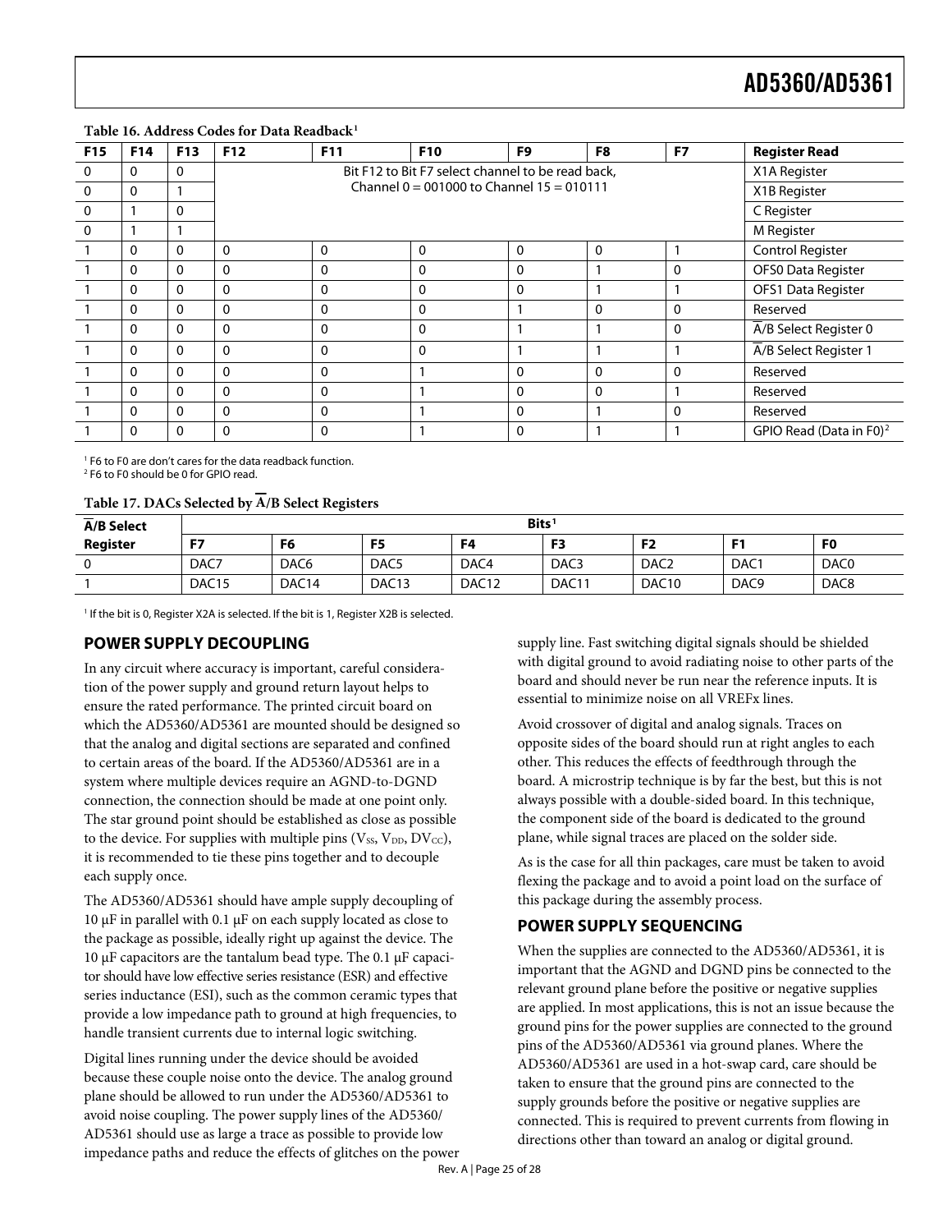#### <span id="page-24-0"></span>Table 16. Address Codes for Data Readback<sup>1</sup>

| F <sub>15</sub> | F14 | F <sub>13</sub> | <b>F12</b>   | F11 | <b>F10</b>                                                                                         | F <sub>9</sub> | F8 | F7          | <b>Register Read</b>                |
|-----------------|-----|-----------------|--------------|-----|----------------------------------------------------------------------------------------------------|----------------|----|-------------|-------------------------------------|
| 0               | 0   | 0               |              |     | Bit F12 to Bit F7 select channel to be read back,<br>Channel $0 = 001000$ to Channel $15 = 010111$ |                |    |             | X1A Register                        |
| 0               | 0   |                 |              |     | X1B Register                                                                                       |                |    |             |                                     |
| 0               |     | 0               |              |     |                                                                                                    |                |    |             | C Register                          |
| $\Omega$        |     |                 |              |     |                                                                                                    |                |    |             | M Register                          |
|                 | 0   | 0               | $\Omega$     | 0   | 0                                                                                                  | 0              | 0  |             | Control Register                    |
|                 | 0   | $\mathbf{0}$    | $\mathbf{0}$ | 0   | 0                                                                                                  | 0              |    | 0           | OFS0 Data Register                  |
|                 | 0   | 0               | $\Omega$     | 0   | 0                                                                                                  | 0              |    |             | OFS1 Data Register                  |
|                 | 0   | $\Omega$        | $\Omega$     | 0   | 0                                                                                                  |                | 0  | $\mathbf 0$ | Reserved                            |
|                 | 0   | 0               | $\Omega$     | 0   | 0                                                                                                  |                |    | 0           | A/B Select Register 0               |
|                 | 0   | $\Omega$        | $\Omega$     | 0   | 0                                                                                                  |                |    |             | A/B Select Register 1               |
|                 | 0   | $\mathbf{0}$    | $\Omega$     | 0   |                                                                                                    | 0              | 0  | 0           | Reserved                            |
|                 | 0   | 0               | $\Omega$     | 0   |                                                                                                    | $\mathbf{0}$   | 0  |             | Reserved                            |
|                 | 0   | $\Omega$        | $\Omega$     | 0   |                                                                                                    | $\mathbf 0$    |    | 0           | Reserved                            |
|                 | 0   | 0               | $\Omega$     | 0   |                                                                                                    | $\mathbf{0}$   |    |             | GPIO Read (Data in F0) <sup>2</sup> |

1 F6 to F0 are don't cares for the data readback function.

2 F6 to F0 should be 0 for GPIO read.

#### **Table 17. DACs Selected by A/B Select Registers**

<span id="page-24-1"></span>

| $\overline{\phantom{0}}$<br><b>A/B Select</b> | Bits <sup>1</sup> |                   |                   |                   |                   |                   |                  |                  |
|-----------------------------------------------|-------------------|-------------------|-------------------|-------------------|-------------------|-------------------|------------------|------------------|
| Register                                      | F7                | F6                | F <sub>5</sub>    | F4                | F3                | F <sub>2</sub>    |                  | F <sub>0</sub>   |
|                                               | DAC7              | DAC <sub>6</sub>  | DAC <sub>5</sub>  | DAC4              | DAC <sub>3</sub>  | DAC <sub>2</sub>  | DAC <sub>1</sub> | DAC <sub>0</sub> |
|                                               | DAC <sub>15</sub> | DAC <sub>14</sub> | DAC <sub>13</sub> | DAC <sub>12</sub> | DAC <sub>11</sub> | DAC <sub>10</sub> | DAC <sub>9</sub> | DAC <sub>8</sub> |

<sup>1</sup> If the bit is 0, Register X2A is selected. If the bit is 1, Register X2B is selected.

### **POWER SUPPLY DECOUPLING**

In any circuit where accuracy is important, careful consideration of the power supply and ground return layout helps to ensure the rated performance. The printed circuit board on which the AD5360/AD5361 are mounted should be designed so that the analog and digital sections are separated and confined to certain areas of the board. If the AD5360/AD5361 are in a system where multiple devices require an AGND-to-DGND connection, the connection should be made at one point only. The star ground point should be established as close as possible to the device. For supplies with multiple pins ( $V_{SS}$ ,  $V_{DD}$ ,  $DV_{CC}$ ), it is recommended to tie these pins together and to decouple each supply once.

The AD5360/AD5361 should have ample supply decoupling of 10 μF in parallel with 0.1 μF on each supply located as close to the package as possible, ideally right up against the device. The 10 μF capacitors are the tantalum bead type. The 0.1 μF capacitor should have low effective series resistance (ESR) and effective series inductance (ESI), such as the common ceramic types that provide a low impedance path to ground at high frequencies, to handle transient currents due to internal logic switching.

Digital lines running under the device should be avoided because these couple noise onto the device. The analog ground plane should be allowed to run under the AD5360/AD5361 to avoid noise coupling. The power supply lines of the AD5360/ AD5361 should use as large a trace as possible to provide low impedance paths and reduce the effects of glitches on the power supply line. Fast switching digital signals should be shielded with digital ground to avoid radiating noise to other parts of the board and should never be run near the reference inputs. It is essential to minimize noise on all VREFx lines.

Avoid crossover of digital and analog signals. Traces on opposite sides of the board should run at right angles to each other. This reduces the effects of feedthrough through the board. A microstrip technique is by far the best, but this is not always possible with a double-sided board. In this technique, the component side of the board is dedicated to the ground plane, while signal traces are placed on the solder side.

As is the case for all thin packages, care must be taken to avoid flexing the package and to avoid a point load on the surface of this package during the assembly process.

### **POWER SUPPLY SEQUENCING**

When the supplies are connected to the AD5360/AD5361, it is important that the AGND and DGND pins be connected to the relevant ground plane before the positive or negative supplies are applied. In most applications, this is not an issue because the ground pins for the power supplies are connected to the ground pins of the AD5360/AD5361 via ground planes. Where the AD5360/AD5361 are used in a hot-swap card, care should be taken to ensure that the ground pins are connected to the supply grounds before the positive or negative supplies are connected. This is required to prevent currents from flowing in directions other than toward an analog or digital ground.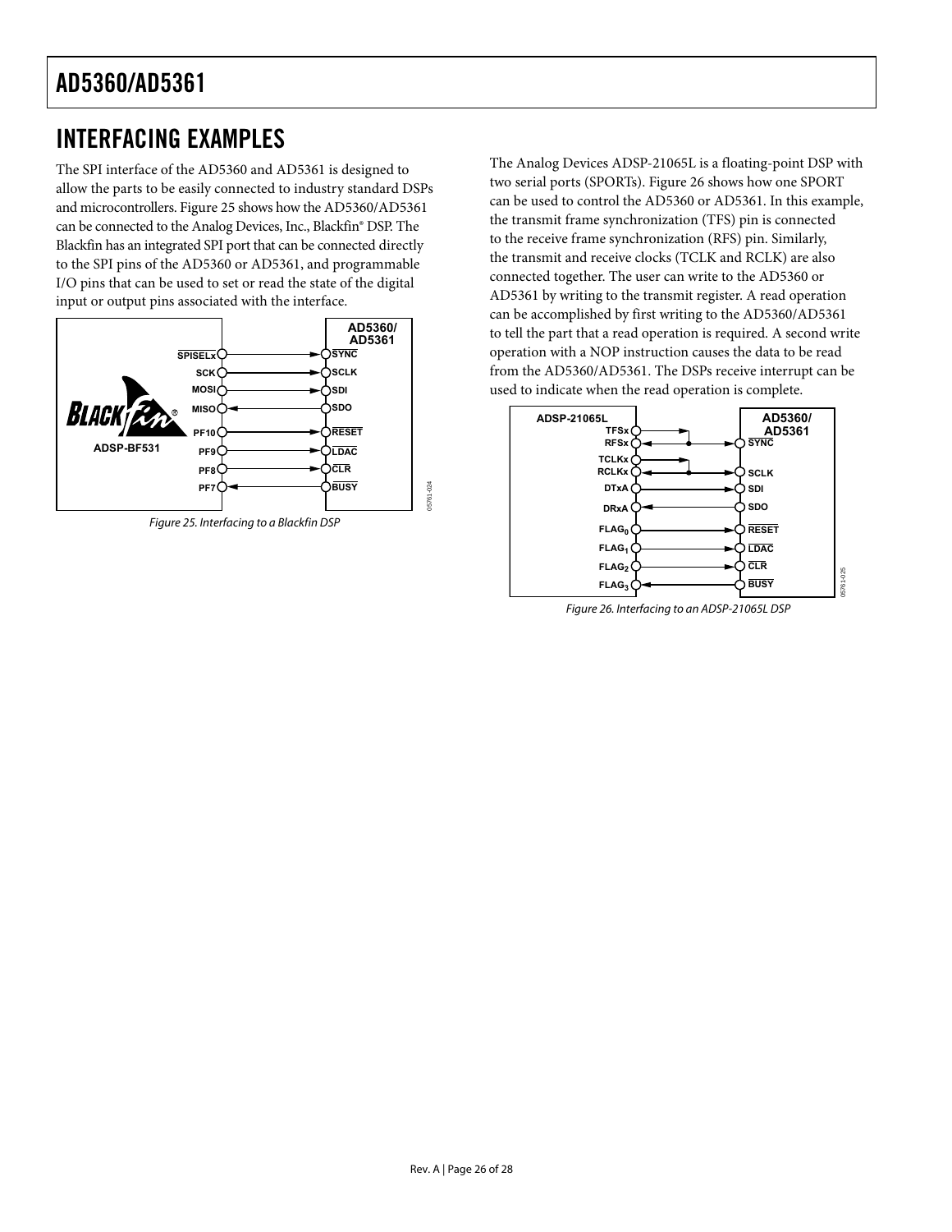# <span id="page-25-0"></span>INTERFACING EXAMPLES

The SPI interface of the AD5360 and AD5361 is designed to allow the parts to be easily connected to industry standard DSPs and microcontrollers. [Figure 25](#page-25-1) shows how the AD5360/AD5361 can be connected to the Analog Devices, Inc., Blackfin® DSP. The Blackfin has an integrated SPI port that can be connected directly to the SPI pins of the AD5360 or AD5361, and programmable I/O pins that can be used to set or read the state of the digital input or output pins associated with the interface.

<span id="page-25-2"></span><span id="page-25-1"></span>

The Analog Devices ADSP-21065L is a floating-point DSP with two serial ports (SPORTs). [Figure 26](#page-25-2) shows how one SPORT can be used to control the AD5360 or AD5361. In this example, the transmit frame synchronization (TFS) pin is connected to the receive frame synchronization (RFS) pin. Similarly, the transmit and receive clocks (TCLK and RCLK) are also connected together. The user can write to the AD5360 or AD5361 by writing to the transmit register. A read operation can be accomplished by first writing to the AD5360/AD5361 to tell the part that a read operation is required. A second write operation with a NOP instruction causes the data to be read from the AD5360/AD5361. The DSPs receive interrupt can be used to indicate when the read operation is complete.



Figure 26. Interfacing to an ADSP-21065L DSP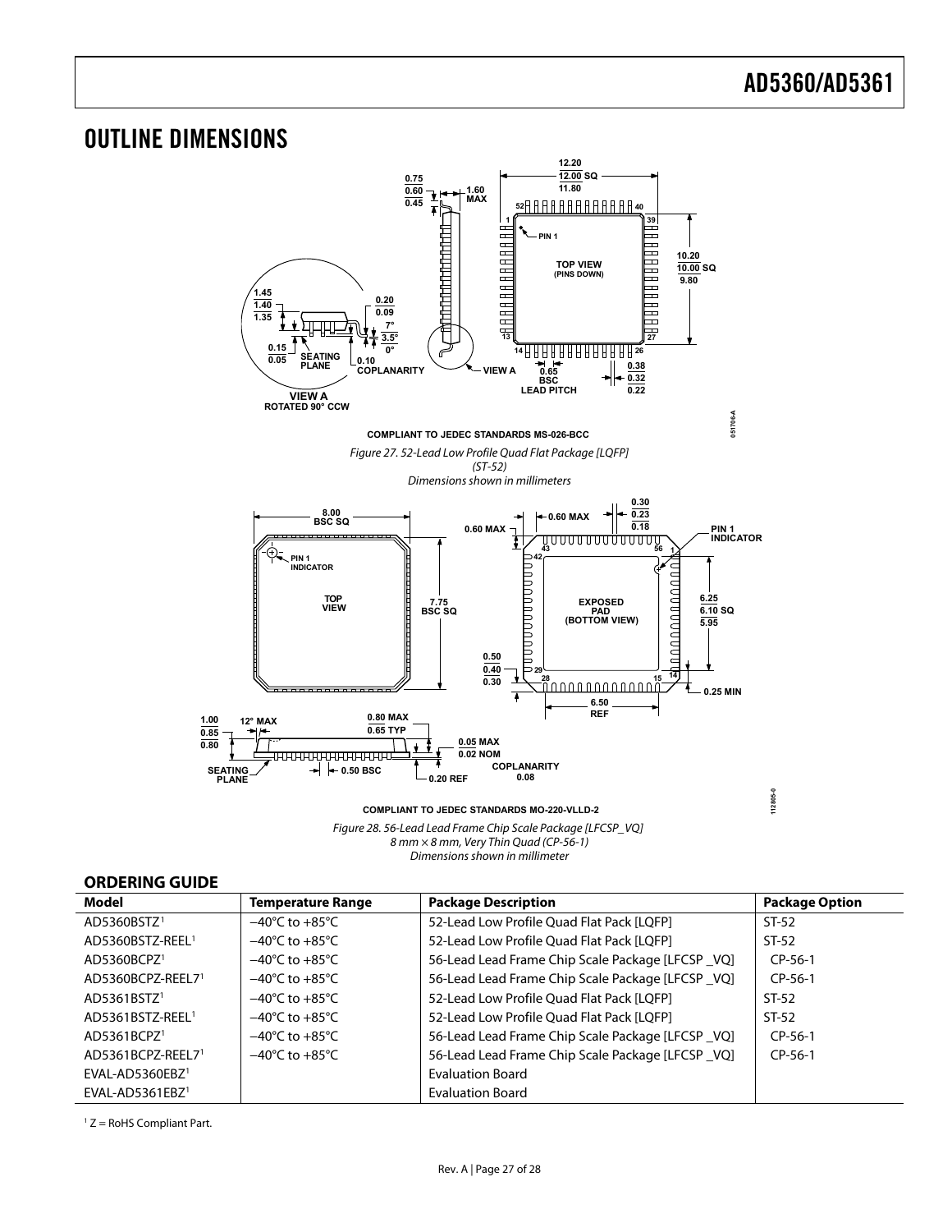#### <span id="page-26-1"></span><span id="page-26-0"></span>OUTLINE DIMENSIONS **12.20 12.00 SQ 0.75 0.60 11.80 1.60 MAX 52 40 0.45 39 11** Freehener<br>Freehener **PIN 1**  $\overline{\phantom{a}}$ aRRRRRRRRRRR 5 Ξ **10.20** HHHHHHH **TOP VIEW (PINS DOWN) 10.00 SQ 9.80 1.45 0.20 1.40 0.09 1.35** F **7°** Ð **3.5° 27** <u>0.15</u> SEATING 0.10<sup> T T</sup> 0° **26 14 0.05 0.10 0.38 PLANE COPLANARITY VIEW A 0.65 BSC LEAD PITCH 0.32 0.22 VIEW A ROTATED 90° CCW 051706-A COMPLIANT TO JEDEC STANDARDS MS-026-BCC** Figure 27. 52-Lead Low Profile Quad Flat Package [LQFP] (ST-52) Dimensions shown in millimeters **0.30 0.23 8.00 BSC SQ 0.60 MAX 0.18 PIN 1<br>INDICATOR 0.60 MAX PIN 1** ---------------------**43 56 1 42 PIN 1 INDICATOR** <u>nanananana</u> nananananan **TOP 6.25 EXPOSED VIEW 7.75 BSC SQ 6.10 SQ PAD (BOTTOM VIEW) 5.95 0.50 0.40 29 14 15** 土 **0.30 28 0.25 MIN 6.50 REF 12° MAX 0.80 MAX 1.00 0.65 TYP 0.85 0.05 MAX 0.80**  $\bullet$ **0.02 NOM** ---------------------**COPLANARITY 0.50 BSC 0.20 REF SEATING PLANE 0.08 112805-0 COMPLIANT TO JEDEC STANDARDS MO-220-VLLD-2**

Figure 28. 56-Lead Lead Frame Chip Scale Package [L*F*CSP\_VQ] 8 mm × 8 mm, Very Thin Quad (CP-56-1) Dimensions shown in millimeter

### **ORDERING GUIDE**

| Model                        | <b>Temperature Range</b>           | <b>Package Description</b>                        | <b>Package Option</b> |
|------------------------------|------------------------------------|---------------------------------------------------|-----------------------|
| AD5360BSTZ <sup>1</sup>      | $-40^{\circ}$ C to $+85^{\circ}$ C | 52-Lead Low Profile Quad Flat Pack [LQFP]         | $ST-52$               |
| AD5360BSTZ-REEL <sup>1</sup> | $-40^{\circ}$ C to $+85^{\circ}$ C | 52-Lead Low Profile Quad Flat Pack [LQFP]         | $ST-52$               |
| AD5360BCPZ1                  | $-40^{\circ}$ C to $+85^{\circ}$ C | 56-Lead Lead Frame Chip Scale Package [LFCSP _VQ] | $CP-56-1$             |
| AD5360BCPZ-REEL71            | $-40^{\circ}$ C to $+85^{\circ}$ C | 56-Lead Lead Frame Chip Scale Package [LFCSP_VQ]  | $CP-56-1$             |
| AD5361BSTZ <sup>1</sup>      | $-40^{\circ}$ C to $+85^{\circ}$ C | 52-Lead Low Profile Quad Flat Pack [LQFP]         | $ST-52$               |
| AD5361BSTZ-REEL <sup>1</sup> | $-40^{\circ}$ C to $+85^{\circ}$ C | 52-Lead Low Profile Ouad Flat Pack [LOFP]         | $ST-52$               |
| AD5361BCPZ <sup>1</sup>      | $-40^{\circ}$ C to $+85^{\circ}$ C | 56-Lead Lead Frame Chip Scale Package [LFCSP _VQ] | $CP-56-1$             |
| AD5361BCPZ-REEL71            | $-40^{\circ}$ C to $+85^{\circ}$ C | 56-Lead Lead Frame Chip Scale Package [LFCSP_VQ]  | $CP-56-1$             |
| $EVAL-AD5360EBZ1$            |                                    | <b>Evaluation Board</b>                           |                       |
| $EVAL-AD5361EBZ1$            |                                    | <b>Evaluation Board</b>                           |                       |

 $1 Z =$  RoHS Compliant Part.